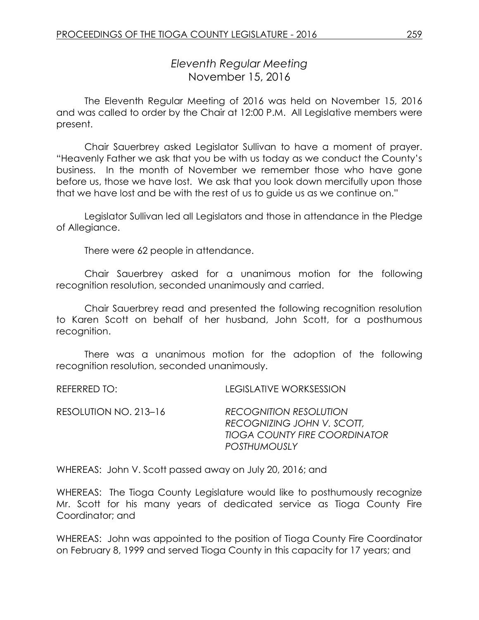# *Eleventh Regular Meeting* November 15, 2016

The Eleventh Regular Meeting of 2016 was held on November 15, 2016 and was called to order by the Chair at 12:00 P.M. All Legislative members were present.

Chair Sauerbrey asked Legislator Sullivan to have a moment of prayer. "Heavenly Father we ask that you be with us today as we conduct the County's business. In the month of November we remember those who have gone before us, those we have lost. We ask that you look down mercifully upon those that we have lost and be with the rest of us to guide us as we continue on."

Legislator Sullivan led all Legislators and those in attendance in the Pledge of Allegiance.

There were 62 people in attendance.

Chair Sauerbrey asked for a unanimous motion for the following recognition resolution, seconded unanimously and carried.

Chair Sauerbrey read and presented the following recognition resolution to Karen Scott on behalf of her husband, John Scott, for a posthumous recognition.

There was a unanimous motion for the adoption of the following recognition resolution, seconded unanimously.

REFERRED TO: LEGISLATIVE WORKSESSION

| RESOLUTION NO. 213–16 | <b>RECOGNITION RESOLUTION</b>        |
|-----------------------|--------------------------------------|
|                       | RECOGNIZING JOHN V. SCOTT,           |
|                       | <b>TIOGA COUNTY FIRE COORDINATOR</b> |
|                       | <b>POSTHUMOUSLY</b>                  |

WHEREAS: John V. Scott passed away on July 20, 2016; and

WHEREAS: The Tioga County Legislature would like to posthumously recognize Mr. Scott for his many years of dedicated service as Tioga County Fire Coordinator; and

WHEREAS: John was appointed to the position of Tioga County Fire Coordinator on February 8, 1999 and served Tioga County in this capacity for 17 years; and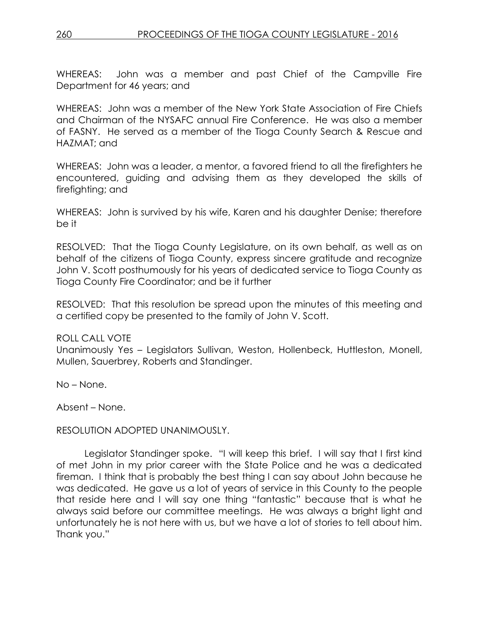WHEREAS: John was a member and past Chief of the Campville Fire Department for 46 years; and

WHEREAS: John was a member of the New York State Association of Fire Chiefs and Chairman of the NYSAFC annual Fire Conference. He was also a member of FASNY. He served as a member of the Tioga County Search & Rescue and HAZMAT; and

WHEREAS: John was a leader, a mentor, a favored friend to all the firefighters he encountered, guiding and advising them as they developed the skills of firefighting; and

WHEREAS: John is survived by his wife, Karen and his daughter Denise; therefore be it

RESOLVED: That the Tioga County Legislature, on its own behalf, as well as on behalf of the citizens of Tioga County, express sincere gratitude and recognize John V. Scott posthumously for his years of dedicated service to Tioga County as Tioga County Fire Coordinator; and be it further

RESOLVED: That this resolution be spread upon the minutes of this meeting and a certified copy be presented to the family of John V. Scott.

#### ROLL CALL VOTE

Unanimously Yes – Legislators Sullivan, Weston, Hollenbeck, Huttleston, Monell, Mullen, Sauerbrey, Roberts and Standinger.

No – None.

Absent – None.

#### RESOLUTION ADOPTED UNANIMOUSLY.

Legislator Standinger spoke. "I will keep this brief. I will say that I first kind of met John in my prior career with the State Police and he was a dedicated fireman. I think that is probably the best thing I can say about John because he was dedicated. He gave us a lot of years of service in this County to the people that reside here and I will say one thing "fantastic" because that is what he always said before our committee meetings. He was always a bright light and unfortunately he is not here with us, but we have a lot of stories to tell about him. Thank you."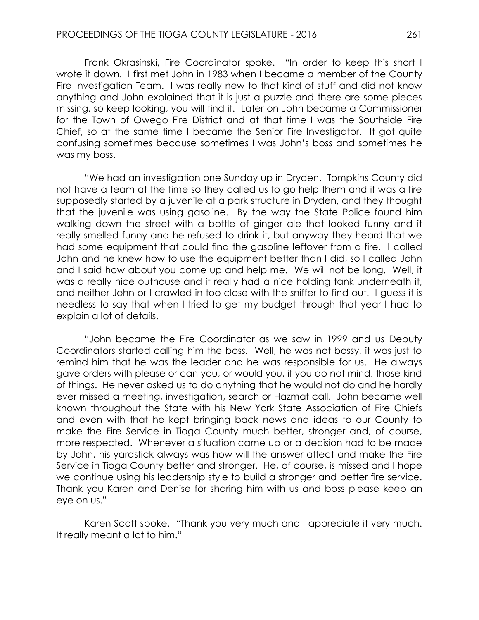Frank Okrasinski, Fire Coordinator spoke. "In order to keep this short I wrote it down. I first met John in 1983 when I became a member of the County Fire Investigation Team. I was really new to that kind of stuff and did not know anything and John explained that it is just a puzzle and there are some pieces missing, so keep looking, you will find it. Later on John became a Commissioner for the Town of Owego Fire District and at that time I was the Southside Fire Chief, so at the same time I became the Senior Fire Investigator. It got quite confusing sometimes because sometimes I was John's boss and sometimes he was my boss.

"We had an investigation one Sunday up in Dryden. Tompkins County did not have a team at the time so they called us to go help them and it was a fire supposedly started by a juvenile at a park structure in Dryden, and they thought that the juvenile was using gasoline. By the way the State Police found him walking down the street with a bottle of ginger ale that looked funny and it really smelled funny and he refused to drink it, but anyway they heard that we had some equipment that could find the gasoline leftover from a fire. I called John and he knew how to use the equipment better than I did, so I called John and I said how about you come up and help me. We will not be long. Well, it was a really nice outhouse and it really had a nice holding tank underneath it, and neither John or I crawled in too close with the sniffer to find out. I guess it is needless to say that when I tried to get my budget through that year I had to explain a lot of details.

"John became the Fire Coordinator as we saw in 1999 and us Deputy Coordinators started calling him the boss. Well, he was not bossy, it was just to remind him that he was the leader and he was responsible for us. He always gave orders with please or can you, or would you, if you do not mind, those kind of things. He never asked us to do anything that he would not do and he hardly ever missed a meeting, investigation, search or Hazmat call. John became well known throughout the State with his New York State Association of Fire Chiefs and even with that he kept bringing back news and ideas to our County to make the Fire Service in Tioga County much better, stronger and, of course, more respected. Whenever a situation came up or a decision had to be made by John, his yardstick always was how will the answer affect and make the Fire Service in Tioga County better and stronger. He, of course, is missed and I hope we continue using his leadership style to build a stronger and better fire service. Thank you Karen and Denise for sharing him with us and boss please keep an eye on us."

Karen Scott spoke. "Thank you very much and I appreciate it very much. It really meant a lot to him."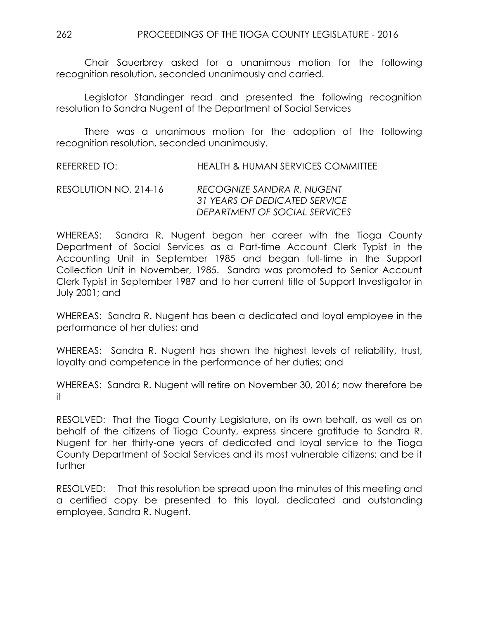Chair Sauerbrey asked for a unanimous motion for the following recognition resolution, seconded unanimously and carried.

Legislator Standinger read and presented the following recognition resolution to Sandra Nugent of the Department of Social Services

There was a unanimous motion for the adoption of the following recognition resolution, seconded unanimously.

REFERRED TO: HEALTH & HUMAN SERVICES COMMITTEE

RESOLUTION NO. 214-16 *RECOGNIZE SANDRA R. NUGENT 31 YEARS OF DEDICATED SERVICE DEPARTMENT OF SOCIAL SERVICES*

WHEREAS: Sandra R. Nugent began her career with the Tioga County Department of Social Services as a Part-time Account Clerk Typist in the Accounting Unit in September 1985 and began full-time in the Support Collection Unit in November, 1985. Sandra was promoted to Senior Account Clerk Typist in September 1987 and to her current title of Support Investigator in July 2001; and

WHEREAS: Sandra R. Nugent has been a dedicated and loyal employee in the performance of her duties; and

WHEREAS: Sandra R. Nugent has shown the highest levels of reliability, trust, loyalty and competence in the performance of her duties; and

WHEREAS: Sandra R. Nugent will retire on November 30, 2016; now therefore be it

RESOLVED:That the Tioga County Legislature, on its own behalf, as well as on behalf of the citizens of Tioga County, express sincere gratitude to Sandra R. Nugent for her thirty-one years of dedicated and loyal service to the Tioga County Department of Social Services and its most vulnerable citizens; and be it further

RESOLVED: That this resolution be spread upon the minutes of this meeting and a certified copy be presented to this loyal, dedicated and outstanding employee, Sandra R. Nugent.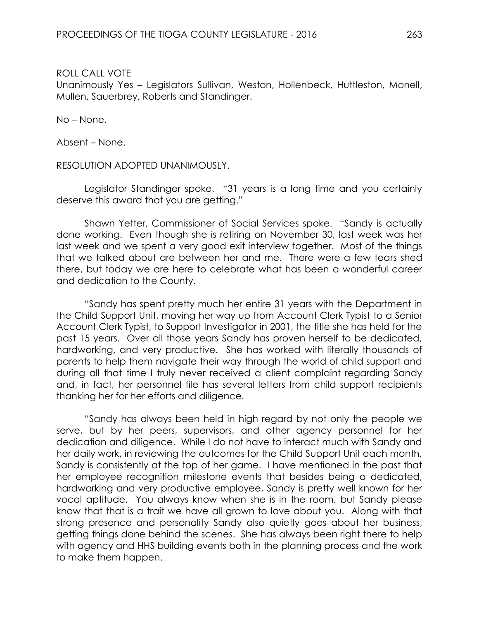ROLL CALL VOTE

Unanimously Yes – Legislators Sullivan, Weston, Hollenbeck, Huttleston, Monell, Mullen, Sauerbrey, Roberts and Standinger.

No – None.

Absent – None.

RESOLUTION ADOPTED UNANIMOUSLY.

Legislator Standinger spoke. "31 years is a long time and you certainly deserve this award that you are getting."

Shawn Yetter, Commissioner of Social Services spoke. "Sandy is actually done working. Even though she is retiring on November 30, last week was her last week and we spent a very good exit interview together. Most of the things that we talked about are between her and me. There were a few tears shed there, but today we are here to celebrate what has been a wonderful career and dedication to the County.

"Sandy has spent pretty much her entire 31 years with the Department in the Child Support Unit, moving her way up from Account Clerk Typist to a Senior Account Clerk Typist, to Support Investigator in 2001, the title she has held for the past 15 years. Over all those years Sandy has proven herself to be dedicated, hardworking, and very productive. She has worked with literally thousands of parents to help them navigate their way through the world of child support and during all that time I truly never received a client complaint regarding Sandy and, in fact, her personnel file has several letters from child support recipients thanking her for her efforts and diligence.

"Sandy has always been held in high regard by not only the people we serve, but by her peers, supervisors, and other agency personnel for her dedication and diligence. While I do not have to interact much with Sandy and her daily work, in reviewing the outcomes for the Child Support Unit each month, Sandy is consistently at the top of her game. I have mentioned in the past that her employee recognition milestone events that besides being a dedicated, hardworking and very productive employee, Sandy is pretty well known for her vocal aptitude. You always know when she is in the room, but Sandy please know that that is a trait we have all grown to love about you. Along with that strong presence and personality Sandy also quietly goes about her business, getting things done behind the scenes. She has always been right there to help with agency and HHS building events both in the planning process and the work to make them happen.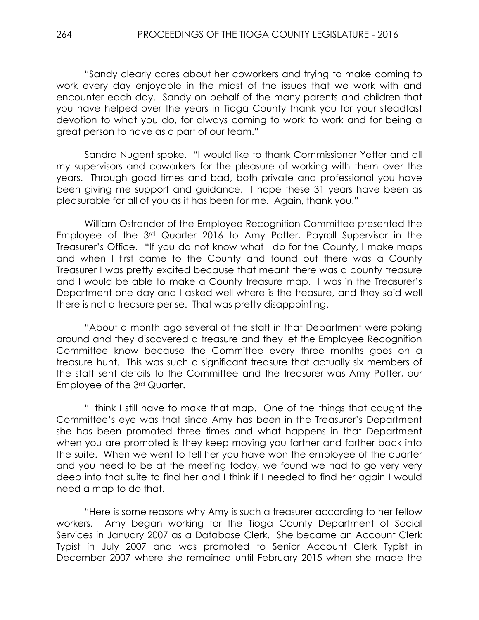"Sandy clearly cares about her coworkers and trying to make coming to work every day enjoyable in the midst of the issues that we work with and encounter each day. Sandy on behalf of the many parents and children that you have helped over the years in Tioga County thank you for your steadfast devotion to what you do, for always coming to work to work and for being a great person to have as a part of our team."

Sandra Nugent spoke. "I would like to thank Commissioner Yetter and all my supervisors and coworkers for the pleasure of working with them over the years. Through good times and bad, both private and professional you have been giving me support and guidance. I hope these 31 years have been as pleasurable for all of you as it has been for me. Again, thank you."

William Ostrander of the Employee Recognition Committee presented the Employee of the 3rd Quarter 2016 to Amy Potter, Payroll Supervisor in the Treasurer's Office. "If you do not know what I do for the County, I make maps and when I first came to the County and found out there was a County Treasurer I was pretty excited because that meant there was a county treasure and I would be able to make a County treasure map. I was in the Treasurer's Department one day and I asked well where is the treasure, and they said well there is not a treasure per se. That was pretty disappointing.

"About a month ago several of the staff in that Department were poking around and they discovered a treasure and they let the Employee Recognition Committee know because the Committee every three months goes on a treasure hunt. This was such a significant treasure that actually six members of the staff sent details to the Committee and the treasurer was Amy Potter, our Employee of the 3rd Quarter.

"I think I still have to make that map. One of the things that caught the Committee's eye was that since Amy has been in the Treasurer's Department she has been promoted three times and what happens in that Department when you are promoted is they keep moving you farther and farther back into the suite. When we went to tell her you have won the employee of the quarter and you need to be at the meeting today, we found we had to go very very deep into that suite to find her and I think if I needed to find her again I would need a map to do that.

"Here is some reasons why Amy is such a treasurer according to her fellow workers. Amy began working for the Tioga County Department of Social Services in January 2007 as a Database Clerk. She became an Account Clerk Typist in July 2007 and was promoted to Senior Account Clerk Typist in December 2007 where she remained until February 2015 when she made the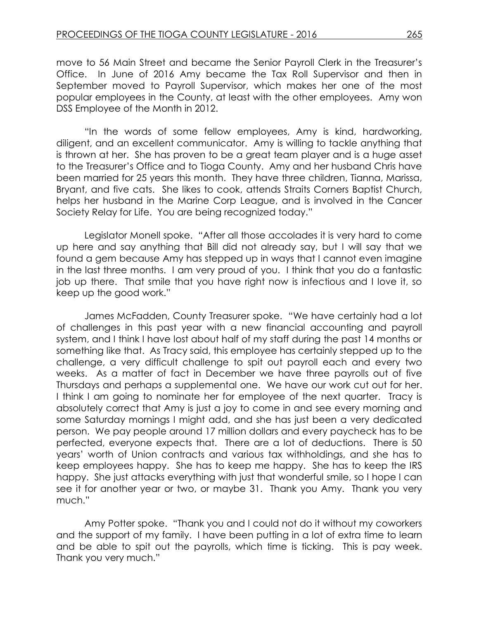move to 56 Main Street and became the Senior Payroll Clerk in the Treasurer's Office. In June of 2016 Amy became the Tax Roll Supervisor and then in September moved to Payroll Supervisor, which makes her one of the most popular employees in the County, at least with the other employees. Amy won DSS Employee of the Month in 2012.

"In the words of some fellow employees, Amy is kind, hardworking, diligent, and an excellent communicator. Amy is willing to tackle anything that is thrown at her. She has proven to be a great team player and is a huge asset to the Treasurer's Office and to Tioga County. Amy and her husband Chris have been married for 25 years this month. They have three children, Tianna, Marissa, Bryant, and five cats. She likes to cook, attends Straits Corners Baptist Church, helps her husband in the Marine Corp League, and is involved in the Cancer Society Relay for Life. You are being recognized today."

Legislator Monell spoke. "After all those accolades it is very hard to come up here and say anything that Bill did not already say, but I will say that we found a gem because Amy has stepped up in ways that I cannot even imagine in the last three months. I am very proud of you. I think that you do a fantastic job up there. That smile that you have right now is infectious and I love it, so keep up the good work."

James McFadden, County Treasurer spoke. "We have certainly had a lot of challenges in this past year with a new financial accounting and payroll system, and I think I have lost about half of my staff during the past 14 months or something like that. As Tracy said, this employee has certainly stepped up to the challenge, a very difficult challenge to spit out payroll each and every two weeks. As a matter of fact in December we have three payrolls out of five Thursdays and perhaps a supplemental one. We have our work cut out for her. I think I am going to nominate her for employee of the next quarter. Tracy is absolutely correct that Amy is just a joy to come in and see every morning and some Saturday mornings I might add, and she has just been a very dedicated person. We pay people around 17 million dollars and every paycheck has to be perfected, everyone expects that. There are a lot of deductions. There is 50 years' worth of Union contracts and various tax withholdings, and she has to keep employees happy. She has to keep me happy. She has to keep the IRS happy. She just attacks everything with just that wonderful smile, so I hope I can see it for another year or two, or maybe 31. Thank you Amy. Thank you very much."

Amy Potter spoke. "Thank you and I could not do it without my coworkers and the support of my family. I have been putting in a lot of extra time to learn and be able to spit out the payrolls, which time is ticking. This is pay week. Thank you very much."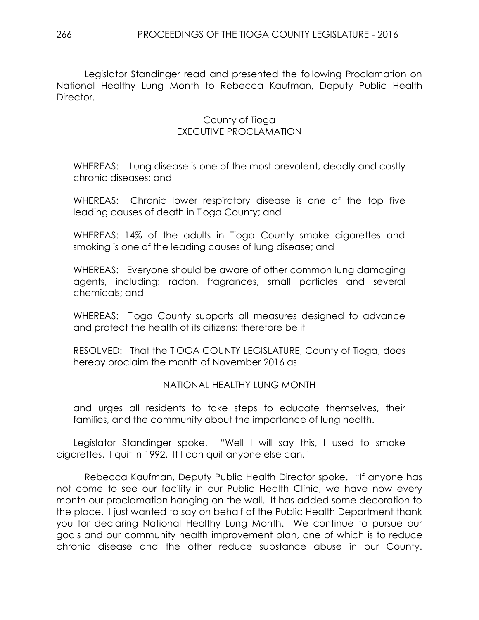Legislator Standinger read and presented the following Proclamation on National Healthy Lung Month to Rebecca Kaufman, Deputy Public Health Director.

### County of Tioga EXECUTIVE PROCLAMATION

WHEREAS: Lung disease is one of the most prevalent, deadly and costly chronic diseases; and

WHEREAS: Chronic lower respiratory disease is one of the top five leading causes of death in Tioga County; and

WHEREAS: 14% of the adults in Tioga County smoke cigarettes and smoking is one of the leading causes of lung disease; and

WHEREAS: Everyone should be aware of other common lung damaging agents, including: radon, fragrances, small particles and several chemicals; and

WHEREAS: Tioga County supports all measures designed to advance and protect the health of its citizens; therefore be it

RESOLVED: That the TIOGA COUNTY LEGISLATURE, County of Tioga, does hereby proclaim the month of November 2016 as

### NATIONAL HEALTHY LUNG MONTH

and urges all residents to take steps to educate themselves, their families, and the community about the importance of lung health.

Legislator Standinger spoke. "Well I will say this, I used to smoke cigarettes. I quit in 1992. If I can quit anyone else can."

Rebecca Kaufman, Deputy Public Health Director spoke. "If anyone has not come to see our facility in our Public Health Clinic, we have now every month our proclamation hanging on the wall. It has added some decoration to the place. I just wanted to say on behalf of the Public Health Department thank you for declaring National Healthy Lung Month. We continue to pursue our goals and our community health improvement plan, one of which is to reduce chronic disease and the other reduce substance abuse in our County.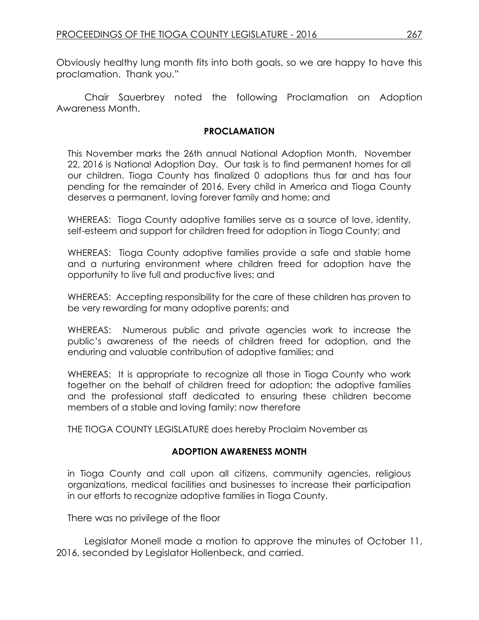Obviously healthy lung month fits into both goals, so we are happy to have this proclamation. Thank you."

Chair Sauerbrey noted the following Proclamation on Adoption Awareness Month.

#### **PROCLAMATION**

This November marks the 26th annual National Adoption Month. November 22, 2016 is National Adoption Day. Our task is to find permanent homes for all our children. Tioga County has finalized 0 adoptions thus far and has four pending for the remainder of 2016. Every child in America and Tioga County deserves a permanent, loving forever family and home; and

WHEREAS: Tioga County adoptive families serve as a source of love, identity, self-esteem and support for children freed for adoption in Tioga County; and

WHEREAS: Tioga County adoptive families provide a safe and stable home and a nurturing environment where children freed for adoption have the opportunity to live full and productive lives; and

WHEREAS: Accepting responsibility for the care of these children has proven to be very rewarding for many adoptive parents; and

WHEREAS: Numerous public and private agencies work to increase the public's awareness of the needs of children freed for adoption, and the enduring and valuable contribution of adoptive families; and

WHEREAS: It is appropriate to recognize all those in Tioga County who work together on the behalf of children freed for adoption; the adoptive families and the professional staff dedicated to ensuring these children become members of a stable and loving family; now therefore

THE TIOGA COUNTY LEGISLATURE does hereby Proclaim November as

### **ADOPTION AWARENESS MONTH**

in Tioga County and call upon all citizens, community agencies, religious organizations, medical facilities and businesses to increase their participation in our efforts to recognize adoptive families in Tioga County.

There was no privilege of the floor

Legislator Monell made a motion to approve the minutes of October 11, 2016, seconded by Legislator Hollenbeck, and carried.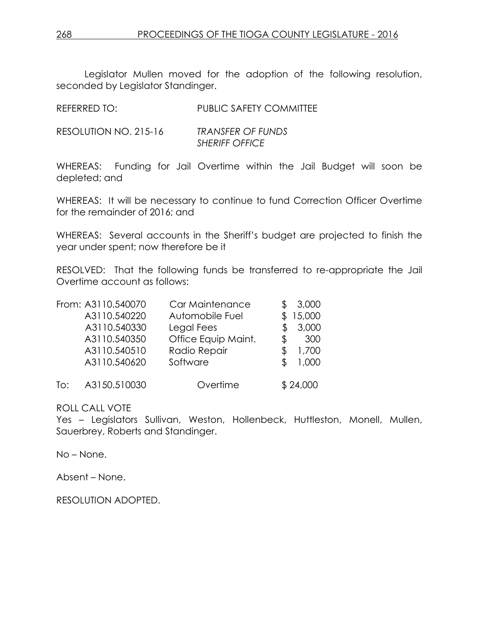Legislator Mullen moved for the adoption of the following resolution, seconded by Legislator Standinger.

| <b>REFERRED TO:</b> | <b>PUBLIC SAFETY COMMITTEE</b> |
|---------------------|--------------------------------|
|                     |                                |

| RESOLUTION NO. 215-16 | <b>TRANSFER OF FUNDS</b> |
|-----------------------|--------------------------|
|                       | <b>SHERIFF OFFICE</b>    |

WHEREAS: Funding for Jail Overtime within the Jail Budget will soon be depleted; and

WHEREAS: It will be necessary to continue to fund Correction Officer Overtime for the remainder of 2016; and

WHEREAS: Several accounts in the Sheriff's budget are projected to finish the year under spent; now therefore be it

RESOLVED: That the following funds be transferred to re-appropriate the Jail Overtime account as follows:

|     | From: A3110.540070 | Car Maintenance     | 3,000     |
|-----|--------------------|---------------------|-----------|
|     | A3110.540220       | Automobile Fuel     | 15,000    |
|     | A3110.540330       | Legal Fees          | 3,000     |
|     | A3110.540350       | Office Equip Maint. | \$<br>300 |
|     | A3110.540510       | Radio Repair        | 1,700     |
|     | A3110.540620       | Software            | 1,000     |
| To: | A3150.510030       | Overtime            | \$24,000  |

ROLL CALL VOTE

Yes - Legislators Sullivan, Weston, Hollenbeck, Huttleston, Monell, Mullen, Sauerbrey, Roberts and Standinger.

No – None.

Absent – None.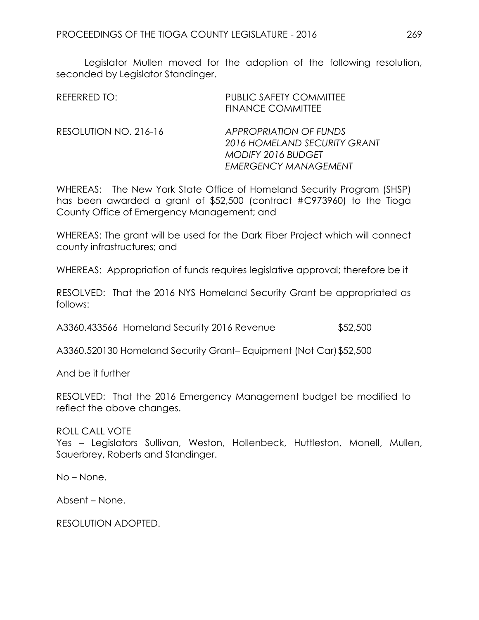Legislator Mullen moved for the adoption of the following resolution, seconded by Legislator Standinger.

| REFERRED TO:          | <b>PUBLIC SAFETY COMMITTEE</b><br><b>FINANCE COMMITTEE</b>                                                                |
|-----------------------|---------------------------------------------------------------------------------------------------------------------------|
| RESOLUTION NO. 216-16 | <b>APPROPRIATION OF FUNDS</b><br>2016 HOMELAND SECURITY GRANT<br><b>MODIFY 2016 BUDGET</b><br><b>EMERGENCY MANAGEMENT</b> |

WHEREAS: The New York State Office of Homeland Security Program (SHSP) has been awarded a grant of \$52,500 (contract #C973960) to the Tioga County Office of Emergency Management; and

WHEREAS: The grant will be used for the Dark Fiber Project which will connect county infrastructures; and

WHEREAS: Appropriation of funds requires legislative approval; therefore be it

RESOLVED: That the 2016 NYS Homeland Security Grant be appropriated as follows:

A3360.433566 Homeland Security 2016 Revenue \$52,500

A3360.520130 Homeland Security Grant– Equipment (Not Car)\$52,500

And be it further

RESOLVED: That the 2016 Emergency Management budget be modified to reflect the above changes.

ROLL CALL VOTE Yes – Legislators Sullivan, Weston, Hollenbeck, Huttleston, Monell, Mullen, Sauerbrey, Roberts and Standinger.

No – None.

Absent – None.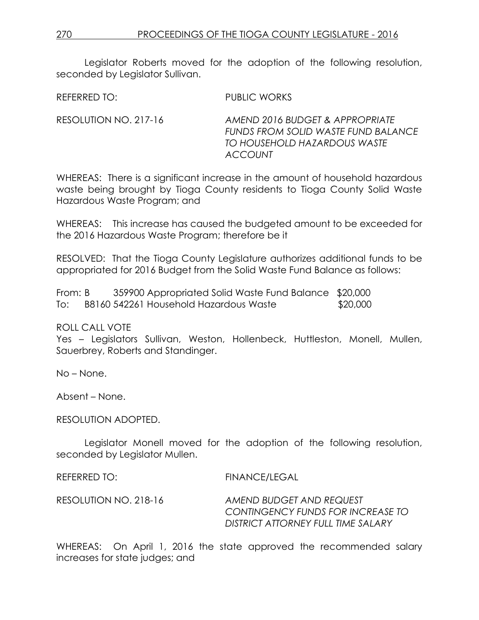Legislator Roberts moved for the adoption of the following resolution, seconded by Legislator Sullivan.

REFERRED TO: PUBLIC WORKS

RESOLUTION NO. 217-16 *AMEND 2016 BUDGET & APPROPRIATE FUNDS FROM SOLID WASTE FUND BALANCE TO HOUSEHOLD HAZARDOUS WASTE ACCOUNT*

WHEREAS: There is a significant increase in the amount of household hazardous waste being brought by Tioga County residents to Tioga County Solid Waste Hazardous Waste Program; and

WHEREAS: This increase has caused the budgeted amount to be exceeded for the 2016 Hazardous Waste Program; therefore be it

RESOLVED: That the Tioga County Legislature authorizes additional funds to be appropriated for 2016 Budget from the Solid Waste Fund Balance as follows:

From: B 359900 Appropriated Solid Waste Fund Balance \$20,000 To: B8160 542261 Household Hazardous Waste \$20,000

ROLL CALL VOTE

Yes – Legislators Sullivan, Weston, Hollenbeck, Huttleston, Monell, Mullen, Sauerbrey, Roberts and Standinger.

No – None.

Absent – None.

RESOLUTION ADOPTED.

Legislator Monell moved for the adoption of the following resolution, seconded by Legislator Mullen.

REFERRED TO: FINANCE/LEGAL RESOLUTION NO. 218-16 *AMEND BUDGET AND REQUEST CONTINGENCY FUNDS FOR INCREASE TO DISTRICT ATTORNEY FULL TIME SALARY* 

WHEREAS: On April 1, 2016 the state approved the recommended salary increases for state judges; and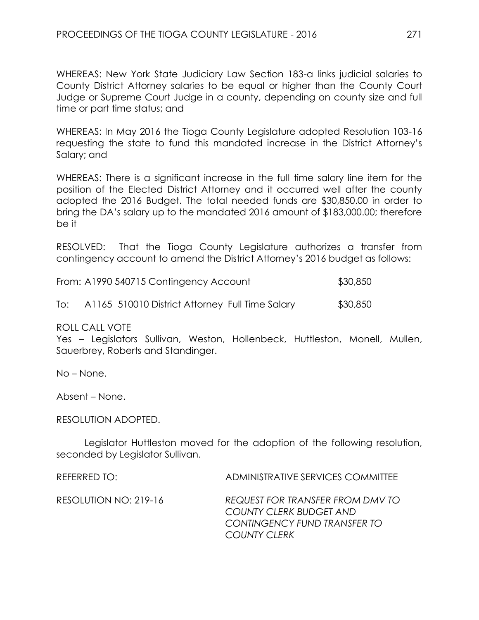WHEREAS: New York State Judiciary Law Section 183-a links judicial salaries to County District Attorney salaries to be equal or higher than the County Court Judge or Supreme Court Judge in a county, depending on county size and full time or part time status; and

WHEREAS: In May 2016 the Tioga County Legislature adopted Resolution 103-16 requesting the state to fund this mandated increase in the District Attorney's Salary; and

WHEREAS: There is a significant increase in the full time salary line item for the position of the Elected District Attorney and it occurred well after the county adopted the 2016 Budget. The total needed funds are \$30,850.00 in order to bring the DA's salary up to the mandated 2016 amount of \$183,000.00; therefore be it

RESOLVED: That the Tioga County Legislature authorizes a transfer from contingency account to amend the District Attorney's 2016 budget as follows:

| From: A1990 540715 Contingency Account |                                                 | \$30,850 |
|----------------------------------------|-------------------------------------------------|----------|
| To:                                    | A1165 510010 District Attorney Full Time Salary | \$30,850 |

ROLL CALL VOTE

Yes – Legislators Sullivan, Weston, Hollenbeck, Huttleston, Monell, Mullen, Sauerbrey, Roberts and Standinger.

No – None.

Absent – None.

RESOLUTION ADOPTED.

Legislator Huttleston moved for the adoption of the following resolution, seconded by Legislator Sullivan.

REFERRED TO: ADMINISTRATIVE SERVICES COMMITTEE

RESOLUTION NO: 219-16 *REQUEST FOR TRANSFER FROM DMV TO COUNTY CLERK BUDGET AND CONTINGENCY FUND TRANSFER TO COUNTY CLERK*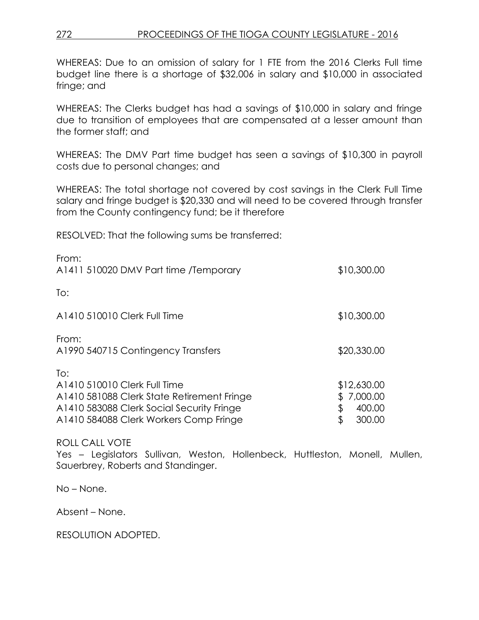## 272 PROCEEDINGS OF THE TIOGA COUNTY LEGISLATURE - 2016

WHEREAS: Due to an omission of salary for 1 FTE from the 2016 Clerks Full time budget line there is a shortage of \$32,006 in salary and \$10,000 in associated fringe; and

WHEREAS: The Clerks budget has had a savings of \$10,000 in salary and fringe due to transition of employees that are compensated at a lesser amount than the former staff; and

WHEREAS: The DMV Part time budget has seen a savings of \$10,300 in payroll costs due to personal changes; and

WHEREAS: The total shortage not covered by cost savings in the Clerk Full Time salary and fringe budget is \$20,330 and will need to be covered through transfer from the County contingency fund; be it therefore

RESOLVED: That the following sums be transferred:

| From:<br>A1411 510020 DMV Part time /Temporary                                                                                                                           | \$10,300.00                                       |
|--------------------------------------------------------------------------------------------------------------------------------------------------------------------------|---------------------------------------------------|
| To:                                                                                                                                                                      |                                                   |
| A1410 510010 Clerk Full Time                                                                                                                                             | \$10,300.00                                       |
| From:<br>A1990 540715 Contingency Transfers                                                                                                                              | \$20,330.00                                       |
| To:<br>A1410 510010 Clerk Full Time<br>A1410 581088 Clerk State Retirement Fringe<br>A1410 583088 Clerk Social Security Fringe<br>A1410 584088 Clerk Workers Comp Fringe | \$12,630.00<br>7,000.00<br>400.00<br>\$<br>300.00 |

ROLL CALL VOTE

Yes - Legislators Sullivan, Weston, Hollenbeck, Huttleston, Monell, Mullen, Sauerbrey, Roberts and Standinger.

No – None.

Absent – None.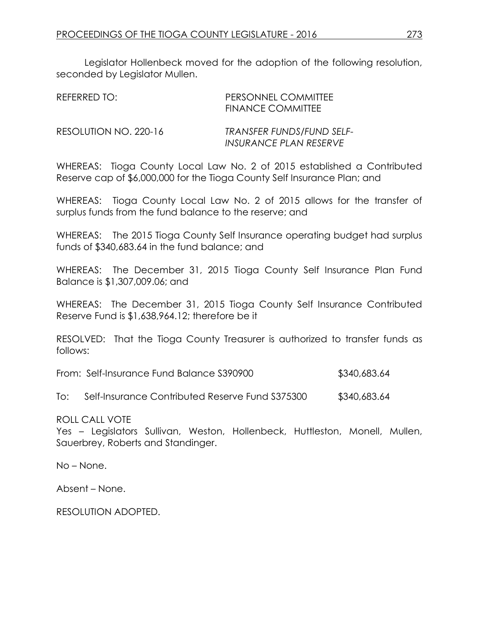Legislator Hollenbeck moved for the adoption of the following resolution, seconded by Legislator Mullen.

| REFERRED TO:          | PERSONNEL COMMITTEE<br><b>FINANCE COMMITTEE</b>                   |
|-----------------------|-------------------------------------------------------------------|
| RESOLUTION NO. 220-16 | <b>TRANSFER FUNDS/FUND SELF-</b><br><b>INSURANCE PLAN RESERVE</b> |

WHEREAS: Tioga County Local Law No. 2 of 2015 established a Contributed Reserve cap of \$6,000,000 for the Tioga County Self Insurance Plan; and

WHEREAS: Tioga County Local Law No. 2 of 2015 allows for the transfer of surplus funds from the fund balance to the reserve; and

WHEREAS: The 2015 Tioga County Self Insurance operating budget had surplus funds of \$340,683.64 in the fund balance; and

WHEREAS: The December 31, 2015 Tioga County Self Insurance Plan Fund Balance is \$1,307,009.06; and

WHEREAS: The December 31, 2015 Tioga County Self Insurance Contributed Reserve Fund is \$1,638,964.12; therefore be it

RESOLVED: That the Tioga County Treasurer is authorized to transfer funds as follows:

From: Self-Insurance Fund Balance S390900 \$340,683.64

To: Self-Insurance Contributed Reserve Fund S375300 \$340,683.64

ROLL CALL VOTE

Yes – Legislators Sullivan, Weston, Hollenbeck, Huttleston, Monell, Mullen, Sauerbrey, Roberts and Standinger.

No – None.

Absent – None.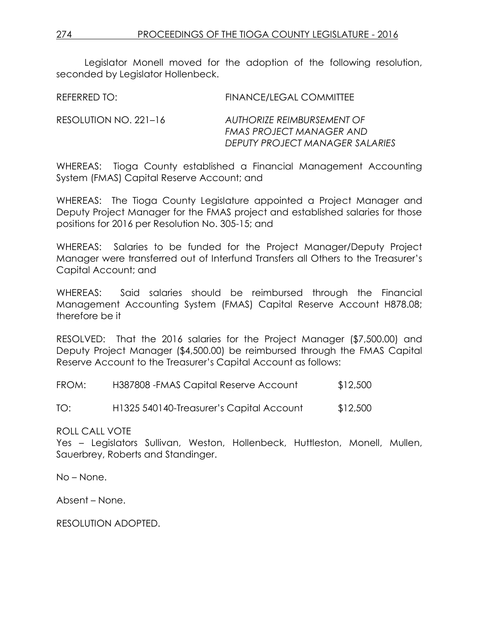Legislator Monell moved for the adoption of the following resolution, seconded by Legislator Hollenbeck.

| REFERRED TO:          | FINANCE/LEGAL COMMITTEE                                                                   |
|-----------------------|-------------------------------------------------------------------------------------------|
| RESOLUTION NO. 221–16 | AUTHORIZE REIMBURSEMENT OF<br>FMAS PROJECT MANAGER AND<br>DEPUTY PROJECT MANAGER SALARIES |

WHEREAS: Tioga County established a Financial Management Accounting System (FMAS) Capital Reserve Account; and

WHEREAS: The Tioga County Legislature appointed a Project Manager and Deputy Project Manager for the FMAS project and established salaries for those positions for 2016 per Resolution No. 305-15; and

WHEREAS: Salaries to be funded for the Project Manager/Deputy Project Manager were transferred out of Interfund Transfers all Others to the Treasurer's Capital Account; and

WHEREAS: Said salaries should be reimbursed through the Financial Management Accounting System (FMAS) Capital Reserve Account H878.08; therefore be it

RESOLVED: That the 2016 salaries for the Project Manager (\$7,500.00) and Deputy Project Manager (\$4,500.00) be reimbursed through the FMAS Capital Reserve Account to the Treasurer's Capital Account as follows:

| FROM: | H387808 - FMAS Capital Reserve Account | \$12,500 |
|-------|----------------------------------------|----------|
|-------|----------------------------------------|----------|

TO: H1325 540140-Treasurer's Capital Account \$12,500

ROLL CALL VOTE

Yes – Legislators Sullivan, Weston, Hollenbeck, Huttleston, Monell, Mullen, Sauerbrey, Roberts and Standinger.

No – None.

Absent – None.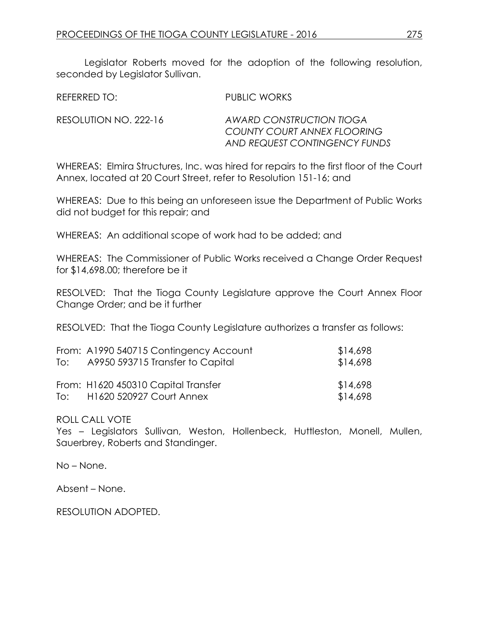Legislator Roberts moved for the adoption of the following resolution, seconded by Legislator Sullivan.

| REFERRED TO:          | PUBLIC WORKS                                                                             |
|-----------------------|------------------------------------------------------------------------------------------|
| RESOLUTION NO. 222-16 | AWARD CONSTRUCTION TIOGA<br>COUNTY COURT ANNEX FLOORING<br>AND REQUEST CONTINGENCY FUNDS |

WHEREAS: Elmira Structures, Inc. was hired for repairs to the first floor of the Court Annex, located at 20 Court Street, refer to Resolution 151-16; and

WHEREAS: Due to this being an unforeseen issue the Department of Public Works did not budget for this repair; and

WHEREAS: An additional scope of work had to be added; and

WHEREAS: The Commissioner of Public Works received a Change Order Request for \$14,698.00; therefore be it

RESOLVED: That the Tioga County Legislature approve the Court Annex Floor Change Order; and be it further

RESOLVED: That the Tioga County Legislature authorizes a transfer as follows:

|     | From: A1990 540715 Contingency Account | \$14,698 |
|-----|----------------------------------------|----------|
| To: | A9950 593715 Transfer to Capital       | \$14,698 |
|     | From: H1620 450310 Capital Transfer    | \$14,698 |
| To: | <b>H1620 520927 Court Annex</b>        | \$14,698 |

#### ROLL CALL VOTE

Yes – Legislators Sullivan, Weston, Hollenbeck, Huttleston, Monell, Mullen, Sauerbrey, Roberts and Standinger.

No – None.

Absent – None.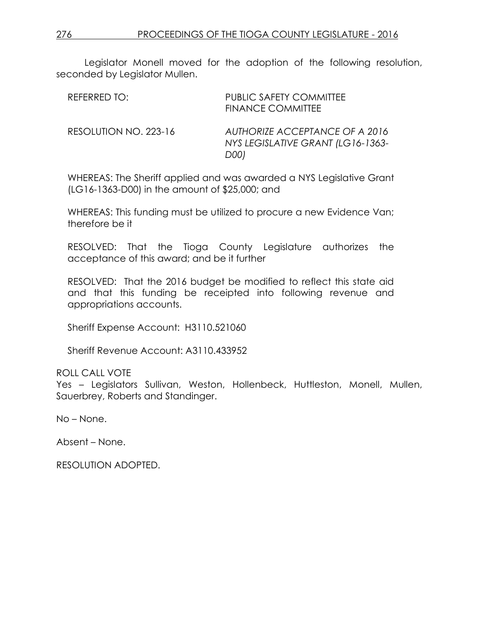Legislator Monell moved for the adoption of the following resolution, seconded by Legislator Mullen.

| REFERRED TO:          | <b>PUBLIC SAFETY COMMITTEE</b><br><b>FINANCE COMMITTEE</b>                  |
|-----------------------|-----------------------------------------------------------------------------|
| RESOLUTION NO. 223-16 | AUTHORIZE ACCEPTANCE OF A 2016<br>NYS LEGISLATIVE GRANT (LG16-1363-<br>D001 |

WHEREAS: The Sheriff applied and was awarded a NYS Legislative Grant (LG16-1363-D00) in the amount of \$25,000; and

WHEREAS: This funding must be utilized to procure a new Evidence Van; therefore be it

RESOLVED: That the Tioga County Legislature authorizes the acceptance of this award; and be it further

RESOLVED: That the 2016 budget be modified to reflect this state aid and that this funding be receipted into following revenue and appropriations accounts.

Sheriff Expense Account: H3110.521060

Sheriff Revenue Account: A3110.433952

ROLL CALL VOTE

Yes – Legislators Sullivan, Weston, Hollenbeck, Huttleston, Monell, Mullen, Sauerbrey, Roberts and Standinger.

No – None.

Absent – None.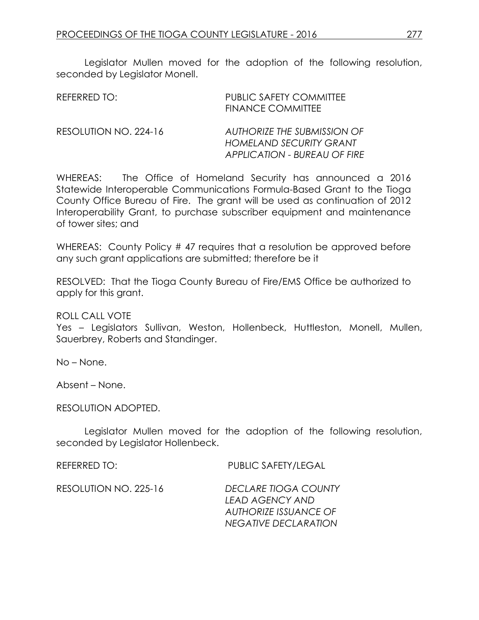Legislator Mullen moved for the adoption of the following resolution, seconded by Legislator Monell.

| REFERRED TO:          | <b>PUBLIC SAFETY COMMITTEE</b><br><b>FINANCE COMMITTEE</b>                                    |
|-----------------------|-----------------------------------------------------------------------------------------------|
| RESOLUTION NO. 224-16 | AUTHORIZE THE SUBMISSION OF<br><b>HOMELAND SECURITY GRANT</b><br>APPLICATION - BUREAU OF FIRE |

WHEREAS: The Office of Homeland Security has announced a 2016 Statewide Interoperable Communications Formula-Based Grant to the Tioga County Office Bureau of Fire. The grant will be used as continuation of 2012 Interoperability Grant, to purchase subscriber equipment and maintenance of tower sites; and

WHEREAS: County Policy # 47 requires that a resolution be approved before any such grant applications are submitted; therefore be it

RESOLVED: That the Tioga County Bureau of Fire/EMS Office be authorized to apply for this grant.

#### ROLL CALL VOTE

Yes – Legislators Sullivan, Weston, Hollenbeck, Huttleston, Monell, Mullen, Sauerbrey, Roberts and Standinger.

No – None.

Absent – None.

RESOLUTION ADOPTED.

Legislator Mullen moved for the adoption of the following resolution, seconded by Legislator Hollenbeck.

REFERRED TO: PUBLIC SAFETY/LEGAL

RESOLUTION NO. 225-16 *DECLARE TIOGA COUNTY LEAD AGENCY AND AUTHORIZE ISSUANCE OF NEGATIVE DECLARATION*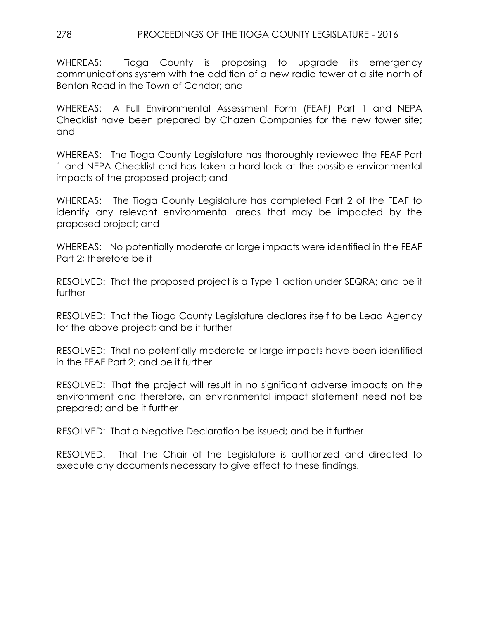## 278 PROCEEDINGS OF THE TIOGA COUNTY LEGISLATURE - 2016

WHEREAS: Tioga County is proposing to upgrade its emergency communications system with the addition of a new radio tower at a site north of Benton Road in the Town of Candor; and

WHEREAS: A Full Environmental Assessment Form (FEAF) Part 1 and NEPA Checklist have been prepared by Chazen Companies for the new tower site; and

WHEREAS: The Tioga County Legislature has thoroughly reviewed the FEAF Part 1 and NEPA Checklist and has taken a hard look at the possible environmental impacts of the proposed project; and

WHEREAS: The Tioga County Legislature has completed Part 2 of the FEAF to identify any relevant environmental areas that may be impacted by the proposed project; and

WHEREAS: No potentially moderate or large impacts were identified in the FEAF Part 2; therefore be it

RESOLVED: That the proposed project is a Type 1 action under SEQRA; and be it further

RESOLVED: That the Tioga County Legislature declares itself to be Lead Agency for the above project; and be it further

RESOLVED: That no potentially moderate or large impacts have been identified in the FEAF Part 2; and be it further

RESOLVED: That the project will result in no significant adverse impacts on the environment and therefore, an environmental impact statement need not be prepared; and be it further

RESOLVED: That a Negative Declaration be issued; and be it further

RESOLVED: That the Chair of the Legislature is authorized and directed to execute any documents necessary to give effect to these findings.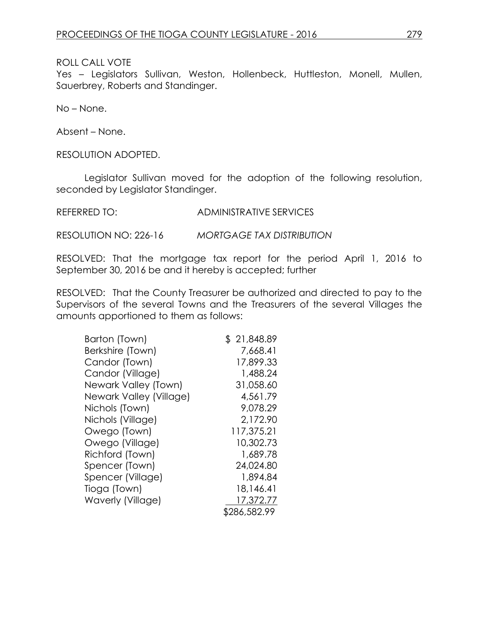ROLL CALL VOTE

Yes – Legislators Sullivan, Weston, Hollenbeck, Huttleston, Monell, Mullen, Sauerbrey, Roberts and Standinger.

No – None.

Absent – None.

RESOLUTION ADOPTED.

Legislator Sullivan moved for the adoption of the following resolution, seconded by Legislator Standinger.

REFERRED TO: ADMINISTRATIVE SERVICES

RESOLUTION NO: 226-16 *MORTGAGE TAX DISTRIBUTION*

RESOLVED: That the mortgage tax report for the period April 1, 2016 to September 30, 2016 be and it hereby is accepted; further

RESOLVED: That the County Treasurer be authorized and directed to pay to the Supervisors of the several Towns and the Treasurers of the several Villages the amounts apportioned to them as follows:

| Barton (Town)           | \$21,848.89  |
|-------------------------|--------------|
| Berkshire (Town)        | 7,668.41     |
| Candor (Town)           | 17,899.33    |
| Candor (Village)        | 1,488.24     |
| Newark Valley (Town)    | 31,058.60    |
| Newark Valley (Village) | 4,561.79     |
| Nichols (Town)          | 9,078.29     |
| Nichols (Village)       | 2,172.90     |
| Owego (Town)            | 117,375.21   |
| Owego (Village)         | 10,302.73    |
| Richford (Town)         | 1,689.78     |
| Spencer (Town)          | 24,024.80    |
| Spencer (Village)       | 1,894.84     |
| Tioga (Town)            | 18,146.41    |
| Waverly (Village)       | 17,372.77    |
|                         | \$286,582.99 |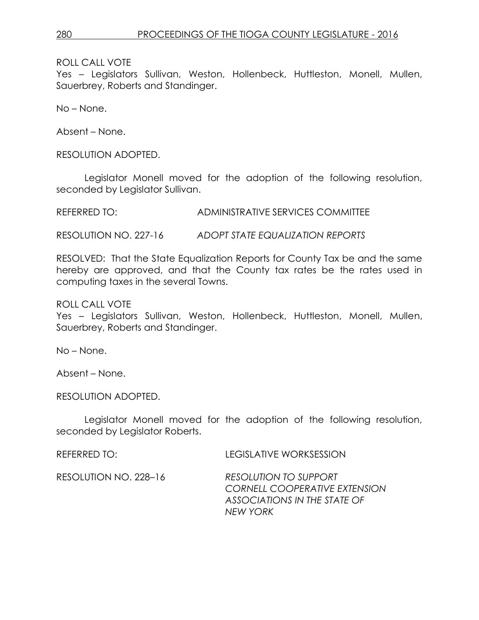ROLL CALL VOTE

Yes – Legislators Sullivan, Weston, Hollenbeck, Huttleston, Monell, Mullen, Sauerbrey, Roberts and Standinger.

No – None.

Absent – None.

RESOLUTION ADOPTED.

Legislator Monell moved for the adoption of the following resolution, seconded by Legislator Sullivan.

REFERRED TO: ADMINISTRATIVE SERVICES COMMITTEE

RESOLUTION NO. 227-16 *ADOPT STATE EQUALIZATION REPORTS*

RESOLVED: That the State Equalization Reports for County Tax be and the same hereby are approved, and that the County tax rates be the rates used in computing taxes in the several Towns.

ROLL CALL VOTE

Yes – Legislators Sullivan, Weston, Hollenbeck, Huttleston, Monell, Mullen, Sauerbrey, Roberts and Standinger.

No – None.

Absent – None.

RESOLUTION ADOPTED.

Legislator Monell moved for the adoption of the following resolution, seconded by Legislator Roberts.

REFERRED TO: LEGISLATIVE WORKSESSION

RESOLUTION NO. 228–16 *RESOLUTION TO SUPPORT CORNELL COOPERATIVE EXTENSION ASSOCIATIONS IN THE STATE OF NEW YORK*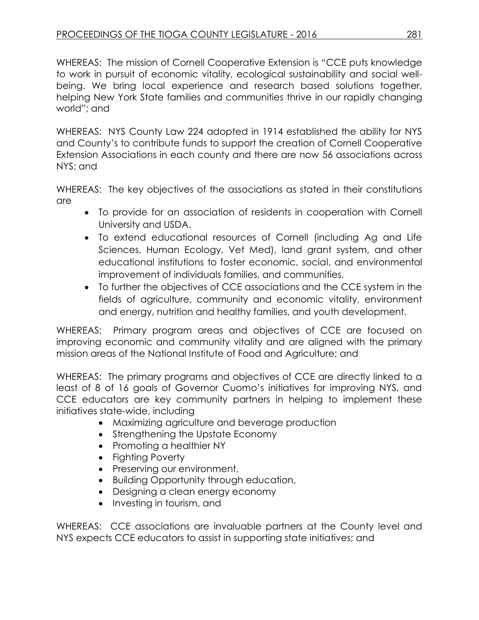WHEREAS: The mission of Cornell Cooperative Extension is "CCE puts knowledge to work in pursuit of economic vitality, ecological sustainability and social wellbeing. We bring local experience and research based solutions together, helping New York State families and communities thrive in our rapidly changing world"; and

WHEREAS: NYS County Law 224 adopted in 1914 established the ability for NYS and County's to contribute funds to support the creation of Cornell Cooperative Extension Associations in each county and there are now 56 associations across NYS; and

WHEREAS: The key objectives of the associations as stated in their constitutions are

- To provide for an association of residents in cooperation with Cornell University and USDA.
- To extend educational resources of Cornell (including Ag and Life Sciences, Human Ecology, Vet Med), land grant system, and other educational institutions to foster economic, social, and environmental improvement of individuals families, and communities.
- To further the objectives of CCE associations and the CCE system in the fields of agriculture, community and economic vitality, environment and energy, nutrition and healthy families, and youth development.

WHEREAS: Primary program areas and objectives of CCE are focused on improving economic and community vitality and are aligned with the primary mission areas of the National Institute of Food and Agriculture; and

WHEREAS: The primary programs and objectives of CCE are directly linked to a least of 8 of 16 goals of Governor Cuomo's initiatives for improving NYS, and CCE educators are key community partners in helping to implement these initiatives state-wide, including

- Maximizing agriculture and beverage production
- Strengthening the Upstate Economy
- Promoting a healthier NY
- Fighting Poverty
- Preserving our environment,
- Building Opportunity through education,
- Designing a clean energy economy
- Investing in tourism, and

WHEREAS: CCE associations are invaluable partners at the County level and NYS expects CCE educators to assist in supporting state initiatives; and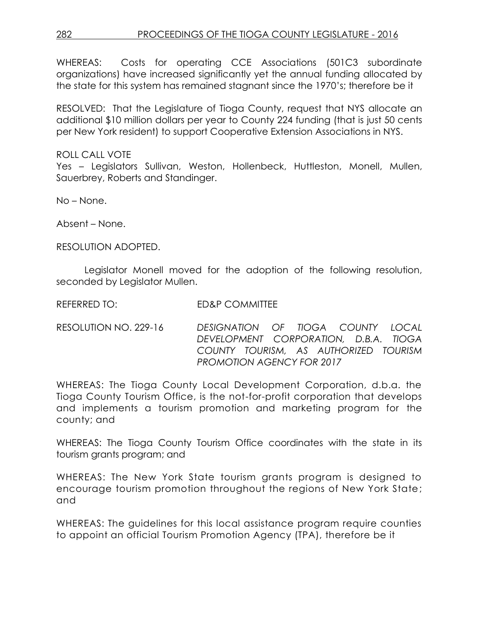WHEREAS: Costs for operating CCE Associations (501C3 subordinate organizations) have increased significantly yet the annual funding allocated by the state for this system has remained stagnant since the 1970's; therefore be it

RESOLVED: That the Legislature of Tioga County, request that NYS allocate an additional \$10 million dollars per year to County 224 funding (that is just 50 cents per New York resident) to support Cooperative Extension Associations in NYS.

ROLL CALL VOTE Yes – Legislators Sullivan, Weston, Hollenbeck, Huttleston, Monell, Mullen, Sauerbrey, Roberts and Standinger.

No – None.

Absent – None.

RESOLUTION ADOPTED.

Legislator Monell moved for the adoption of the following resolution, seconded by Legislator Mullen.

REFERRED TO: ED&P COMMITTEE

RESOLUTION NO. 229-16 *DESIGNATION OF TIOGA COUNTY LOCAL DEVELOPMENT CORPORATION, D.B.A. TIOGA COUNTY TOURISM, AS AUTHORIZED TOURISM PROMOTION AGENCY FOR 2017*

WHEREAS: The Tioga County Local Development Corporation, d.b.a. the Tioga County Tourism Office, is the not-for-profit corporation that develops and implements a tourism promotion and marketing program for the county; and

WHEREAS: The Tioga County Tourism Office coordinates with the state in its tourism grants program; and

WHEREAS: The New York State tourism grants program is designed to encourage tourism promotion throughout the regions of New York State; and

WHEREAS: The guidelines for this local assistance program require counties to appoint an official Tourism Promotion Agency (TPA), therefore be it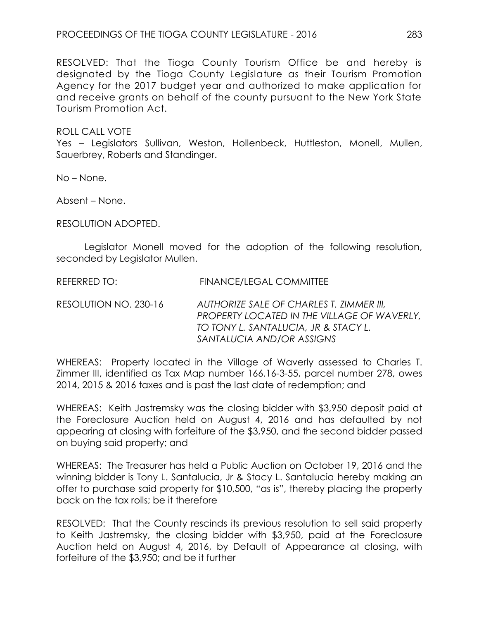RESOLVED: That the Tioga County Tourism Office be and hereby is designated by the Tioga County Legislature as their Tourism Promotion Agency for the 2017 budget year and authorized to make application for and receive grants on behalf of the county pursuant to the New York State Tourism Promotion Act.

ROLL CALL VOTE

Yes – Legislators Sullivan, Weston, Hollenbeck, Huttleston, Monell, Mullen, Sauerbrey, Roberts and Standinger.

No – None.

Absent – None.

RESOLUTION ADOPTED.

Legislator Monell moved for the adoption of the following resolution, seconded by Legislator Mullen.

REFERRED TO: FINANCE/LEGAL COMMITTEE

RESOLUTION NO. 230-16 *AUTHORIZE SALE OF CHARLES T. ZIMMER III, PROPERTY LOCATED IN THE VILLAGE OF WAVERLY, TO TONY L. SANTALUCIA, JR & STACY L. SANTALUCIA AND/OR ASSIGNS* 

WHEREAS: Property located in the Village of Waverly assessed to Charles T. Zimmer III, identified as Tax Map number 166.16-3-55, parcel number 278, owes 2014, 2015 & 2016 taxes and is past the last date of redemption; and

WHEREAS: Keith Jastremsky was the closing bidder with \$3,950 deposit paid at the Foreclosure Auction held on August 4, 2016 and has defaulted by not appearing at closing with forfeiture of the \$3,950, and the second bidder passed on buying said property; and

WHEREAS: The Treasurer has held a Public Auction on October 19, 2016 and the winning bidder is Tony L. Santalucia, Jr & Stacy L. Santalucia hereby making an offer to purchase said property for \$10,500, "as is", thereby placing the property back on the tax rolls; be it therefore

RESOLVED: That the County rescinds its previous resolution to sell said property to Keith Jastremsky, the closing bidder with \$3,950, paid at the Foreclosure Auction held on August 4, 2016, by Default of Appearance at closing, with forfeiture of the \$3,950; and be it further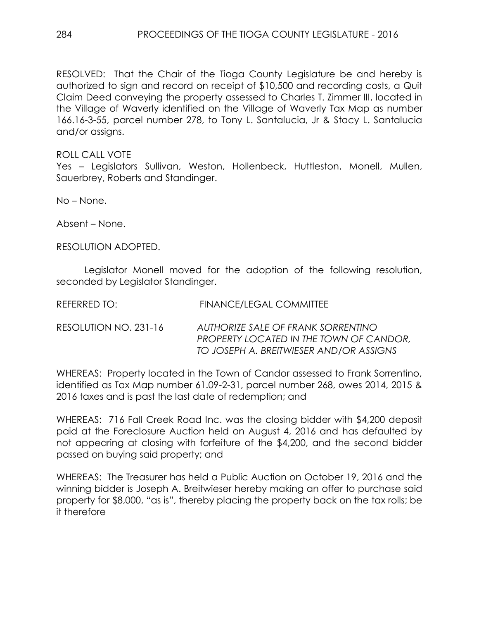RESOLVED: That the Chair of the Tioga County Legislature be and hereby is authorized to sign and record on receipt of \$10,500 and recording costs, a Quit Claim Deed conveying the property assessed to Charles T. Zimmer III, located in the Village of Waverly identified on the Village of Waverly Tax Map as number 166.16-3-55, parcel number 278, to Tony L. Santalucia, Jr & Stacy L. Santalucia and/or assigns.

ROLL CALL VOTE

Yes – Legislators Sullivan, Weston, Hollenbeck, Huttleston, Monell, Mullen, Sauerbrey, Roberts and Standinger.

No – None.

Absent – None.

RESOLUTION ADOPTED.

Legislator Monell moved for the adoption of the following resolution, seconded by Legislator Standinger.

REFERRED TO: FINANCE/LEGAL COMMITTEE

RESOLUTION NO. 231-16 *AUTHORIZE SALE OF FRANK SORRENTINO PROPERTY LOCATED IN THE TOWN OF CANDOR, TO JOSEPH A. BREITWIESER AND/OR ASSIGNS* 

WHEREAS: Property located in the Town of Candor assessed to Frank Sorrentino, identified as Tax Map number 61.09-2-31, parcel number 268, owes 2014, 2015 & 2016 taxes and is past the last date of redemption; and

WHEREAS: 716 Fall Creek Road Inc. was the closing bidder with \$4,200 deposit paid at the Foreclosure Auction held on August 4, 2016 and has defaulted by not appearing at closing with forfeiture of the \$4,200, and the second bidder passed on buying said property; and

WHEREAS: The Treasurer has held a Public Auction on October 19, 2016 and the winning bidder is Joseph A. Breitwieser hereby making an offer to purchase said property for \$8,000, "as is", thereby placing the property back on the tax rolls; be it therefore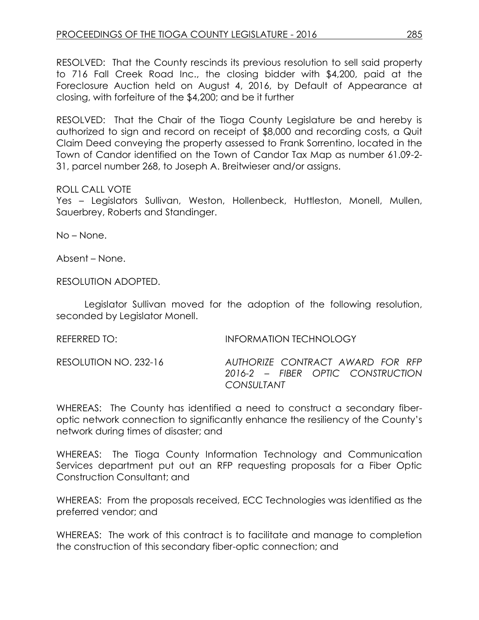RESOLVED: That the County rescinds its previous resolution to sell said property to 716 Fall Creek Road Inc., the closing bidder with \$4,200, paid at the Foreclosure Auction held on August 4, 2016, by Default of Appearance at closing, with forfeiture of the \$4,200; and be it further

RESOLVED: That the Chair of the Tioga County Legislature be and hereby is authorized to sign and record on receipt of \$8,000 and recording costs, a Quit Claim Deed conveying the property assessed to Frank Sorrentino, located in the Town of Candor identified on the Town of Candor Tax Map as number 61.09-2- 31, parcel number 268, to Joseph A. Breitwieser and/or assigns.

### ROLL CALL VOTE

Yes – Legislators Sullivan, Weston, Hollenbeck, Huttleston, Monell, Mullen, Sauerbrey, Roberts and Standinger.

No – None.

Absent – None.

RESOLUTION ADOPTED.

Legislator Sullivan moved for the adoption of the following resolution, seconded by Legislator Monell.

REFERRED TO: INFORMATION TECHNOLOGY

RESOLUTION NO. 232-16 *AUTHORIZE CONTRACT AWARD FOR RFP 2016-2 – FIBER OPTIC CONSTRUCTION CONSULTANT*

WHEREAS: The County has identified a need to construct a secondary fiberoptic network connection to significantly enhance the resiliency of the County's network during times of disaster; and

WHEREAS: The Tioga County Information Technology and Communication Services department put out an RFP requesting proposals for a Fiber Optic Construction Consultant; and

WHEREAS: From the proposals received, ECC Technologies was identified as the preferred vendor; and

WHEREAS: The work of this contract is to facilitate and manage to completion the construction of this secondary fiber-optic connection; and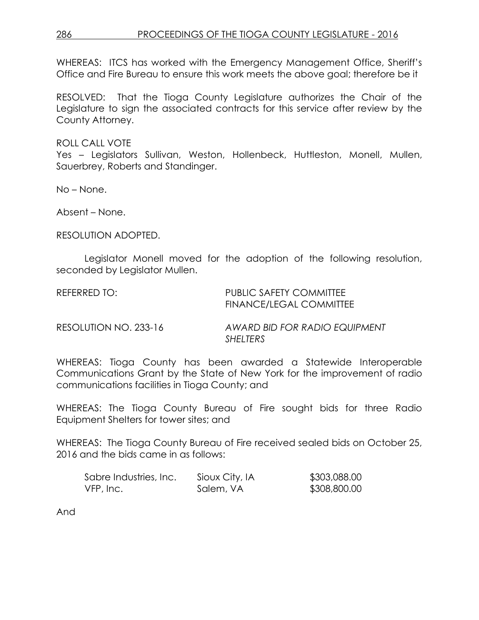## 286 PROCEEDINGS OF THE TIOGA COUNTY LEGISLATURE - 2016

WHEREAS: ITCS has worked with the Emergency Management Office, Sheriff's Office and Fire Bureau to ensure this work meets the above goal; therefore be it

RESOLVED: That the Tioga County Legislature authorizes the Chair of the Legislature to sign the associated contracts for this service after review by the County Attorney.

ROLL CALL VOTE

Yes – Legislators Sullivan, Weston, Hollenbeck, Huttleston, Monell, Mullen, Sauerbrey, Roberts and Standinger.

No – None.

Absent – None.

RESOLUTION ADOPTED.

Legislator Monell moved for the adoption of the following resolution, seconded by Legislator Mullen.

REFERRED TO: PUBLIC SAFETY COMMITTEE FINANCE/LEGAL COMMITTEE

RESOLUTION NO. 233-16 *AWARD BID FOR RADIO EQUIPMENT SHELTERS* 

WHEREAS: Tioga County has been awarded a Statewide Interoperable Communications Grant by the State of New York for the improvement of radio communications facilities in Tioga County; and

WHEREAS: The Tioga County Bureau of Fire sought bids for three Radio Equipment Shelters for tower sites; and

WHEREAS: The Tioga County Bureau of Fire received sealed bids on October 25, 2016 and the bids came in as follows:

| Sabre Industries, Inc. | Sioux City, IA | \$303,088.00 |
|------------------------|----------------|--------------|
| VFP, Inc.              | Salem, VA      | \$308,800.00 |

And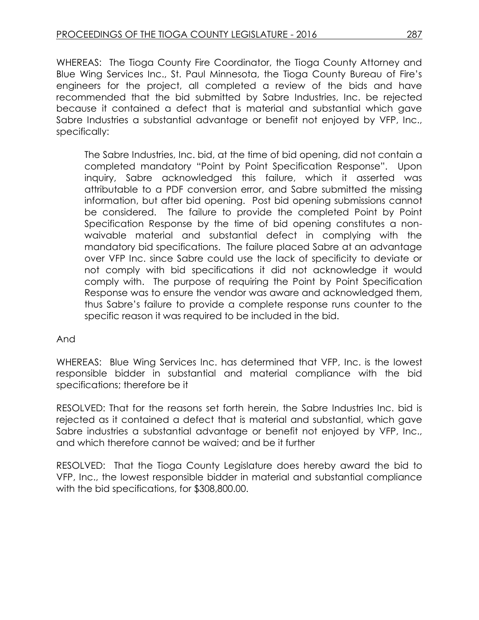WHEREAS: The Tioga County Fire Coordinator, the Tioga County Attorney and Blue Wing Services Inc., St. Paul Minnesota, the Tioga County Bureau of Fire's engineers for the project, all completed a review of the bids and have recommended that the bid submitted by Sabre Industries, Inc. be rejected because it contained a defect that is material and substantial which gave Sabre Industries a substantial advantage or benefit not enjoyed by VFP, Inc., specifically:

The Sabre Industries, Inc. bid, at the time of bid opening, did not contain a completed mandatory "Point by Point Specification Response". Upon inquiry, Sabre acknowledged this failure, which it asserted was attributable to a PDF conversion error, and Sabre submitted the missing information, but after bid opening. Post bid opening submissions cannot be considered. The failure to provide the completed Point by Point Specification Response by the time of bid opening constitutes a nonwaivable material and substantial defect in complying with the mandatory bid specifications. The failure placed Sabre at an advantage over VFP Inc. since Sabre could use the lack of specificity to deviate or not comply with bid specifications it did not acknowledge it would comply with. The purpose of requiring the Point by Point Specification Response was to ensure the vendor was aware and acknowledged them, thus Sabre's failure to provide a complete response runs counter to the specific reason it was required to be included in the bid.

## And

WHEREAS: Blue Wing Services Inc. has determined that VFP, Inc. is the lowest responsible bidder in substantial and material compliance with the bid specifications; therefore be it

RESOLVED: That for the reasons set forth herein, the Sabre Industries Inc. bid is rejected as it contained a defect that is material and substantial, which gave Sabre industries a substantial advantage or benefit not enjoyed by VFP, Inc., and which therefore cannot be waived; and be it further

RESOLVED: That the Tioga County Legislature does hereby award the bid to VFP, Inc., the lowest responsible bidder in material and substantial compliance with the bid specifications, for \$308,800.00.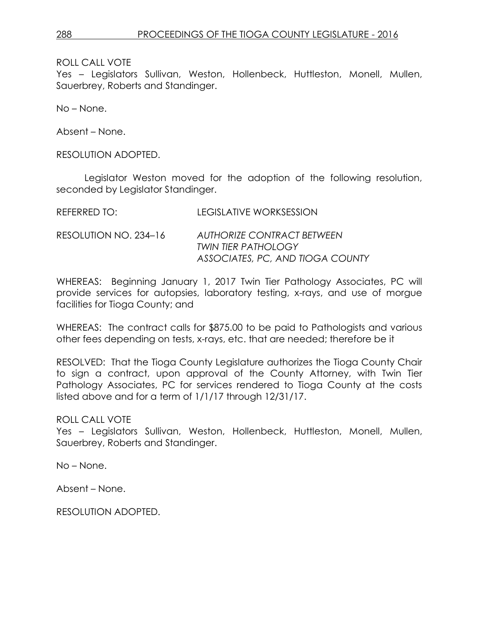ROLL CALL VOTE

Yes – Legislators Sullivan, Weston, Hollenbeck, Huttleston, Monell, Mullen, Sauerbrey, Roberts and Standinger.

No – None.

Absent – None.

RESOLUTION ADOPTED.

Legislator Weston moved for the adoption of the following resolution, seconded by Legislator Standinger.

| REFERRED TO: I        | LEGISLATIVE WORKSESSION                                                                             |
|-----------------------|-----------------------------------------------------------------------------------------------------|
| RESOLUTION NO. 234–16 | <b>AUTHORIZE CONTRACT BETWEEN</b><br><b>TWIN TIER PATHOLOGY</b><br>ASSOCIATES, PC, AND TIOGA COUNTY |

WHEREAS: Beginning January 1, 2017 Twin Tier Pathology Associates, PC will provide services for autopsies, laboratory testing, x-rays, and use of morgue facilities for Tioga County; and

WHEREAS: The contract calls for \$875.00 to be paid to Pathologists and various other fees depending on tests, x-rays, etc. that are needed; therefore be it

RESOLVED: That the Tioga County Legislature authorizes the Tioga County Chair to sign a contract, upon approval of the County Attorney, with Twin Tier Pathology Associates, PC for services rendered to Tioga County at the costs listed above and for a term of 1/1/17 through 12/31/17.

ROLL CALL VOTE

Yes – Legislators Sullivan, Weston, Hollenbeck, Huttleston, Monell, Mullen, Sauerbrey, Roberts and Standinger.

No – None.

Absent – None.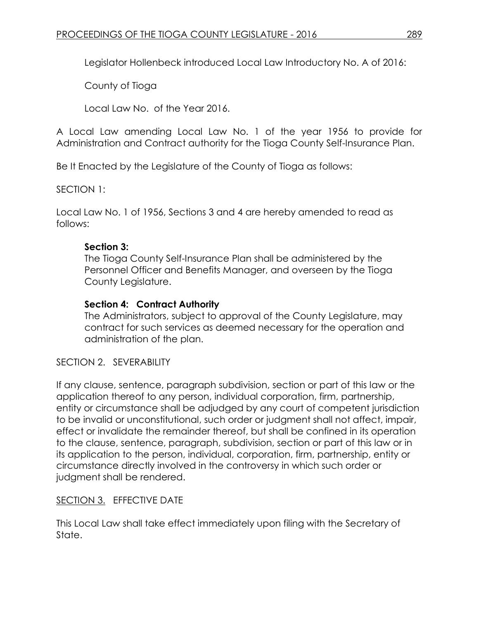Legislator Hollenbeck introduced Local Law Introductory No. A of 2016:

County of Tioga

Local Law No. of the Year 2016.

A Local Law amending Local Law No. 1 of the year 1956 to provide for Administration and Contract authority for the Tioga County Self-Insurance Plan.

Be It Enacted by the Legislature of the County of Tioga as follows:

SECTION 1:

Local Law No. 1 of 1956, Sections 3 and 4 are hereby amended to read as follows:

# **Section 3:**

The Tioga County Self-Insurance Plan shall be administered by the Personnel Officer and Benefits Manager, and overseen by the Tioga County Legislature.

# **Section 4: Contract Authority**

The Administrators, subject to approval of the County Legislature, may contract for such services as deemed necessary for the operation and administration of the plan.

SECTION 2. SEVERABILITY

If any clause, sentence, paragraph subdivision, section or part of this law or the application thereof to any person, individual corporation, firm, partnership, entity or circumstance shall be adjudged by any court of competent jurisdiction to be invalid or unconstitutional, such order or judgment shall not affect, impair, effect or invalidate the remainder thereof, but shall be confined in its operation to the clause, sentence, paragraph, subdivision, section or part of this law or in its application to the person, individual, corporation, firm, partnership, entity or circumstance directly involved in the controversy in which such order or judgment shall be rendered.

# SECTION 3. EFFECTIVE DATE

This Local Law shall take effect immediately upon filing with the Secretary of State.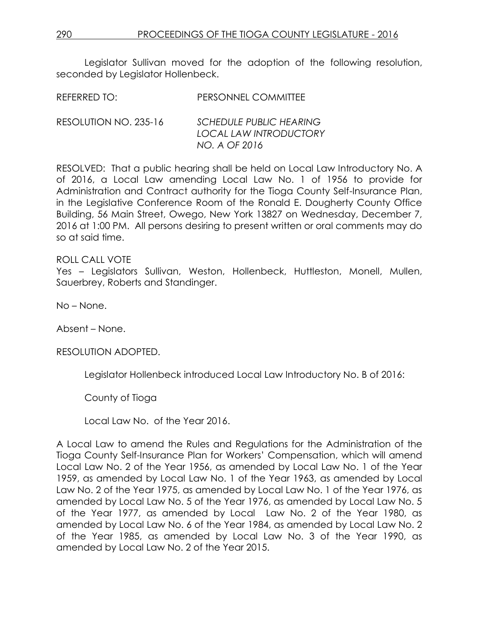Legislator Sullivan moved for the adoption of the following resolution, seconded by Legislator Hollenbeck.

| REFERRED TO: | PERSONNEL COMMITTEE |
|--------------|---------------------|
|              |                     |

| RESOLUTION NO. 235-16 | <b>SCHEDULE PUBLIC HEARING</b> |
|-----------------------|--------------------------------|
|                       | LOCAL LAW INTRODUCTORY         |
|                       | NO. A OF 2016                  |

RESOLVED: That a public hearing shall be held on Local Law Introductory No. A of 2016, a Local Law amending Local Law No. 1 of 1956 to provide for Administration and Contract authority for the Tioga County Self-Insurance Plan, in the Legislative Conference Room of the Ronald E. Dougherty County Office Building, 56 Main Street, Owego, New York 13827 on Wednesday, December 7, 2016 at 1:00 PM. All persons desiring to present written or oral comments may do so at said time.

### ROLL CALL VOTE

Yes – Legislators Sullivan, Weston, Hollenbeck, Huttleston, Monell, Mullen, Sauerbrey, Roberts and Standinger.

No – None.

Absent – None.

RESOLUTION ADOPTED.

Legislator Hollenbeck introduced Local Law Introductory No. B of 2016:

County of Tioga

Local Law No. of the Year 2016.

A Local Law to amend the Rules and Regulations for the Administration of the Tioga County Self-Insurance Plan for Workers' Compensation, which will amend Local Law No. 2 of the Year 1956, as amended by Local Law No. 1 of the Year 1959, as amended by Local Law No. 1 of the Year 1963, as amended by Local Law No. 2 of the Year 1975, as amended by Local Law No. 1 of the Year 1976, as amended by Local Law No. 5 of the Year 1976, as amended by Local Law No. 5 of the Year 1977, as amended by Local Law No. 2 of the Year 1980, as amended by Local Law No. 6 of the Year 1984, as amended by Local Law No. 2 of the Year 1985, as amended by Local Law No. 3 of the Year 1990, as amended by Local Law No. 2 of the Year 2015.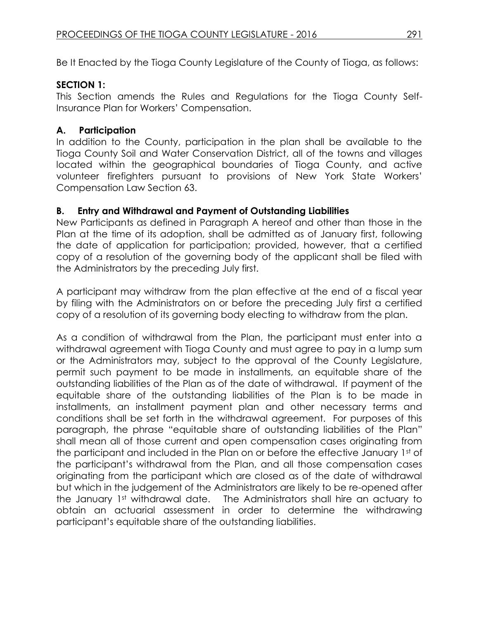Be It Enacted by the Tioga County Legislature of the County of Tioga, as follows:

# **SECTION 1:**

This Section amends the Rules and Regulations for the Tioga County Self-Insurance Plan for Workers' Compensation.

# **A. Participation**

In addition to the County, participation in the plan shall be available to the Tioga County Soil and Water Conservation District, all of the towns and villages located within the geographical boundaries of Tioga County, and active volunteer firefighters pursuant to provisions of New York State Workers' Compensation Law Section 63.

# **B. Entry and Withdrawal and Payment of Outstanding Liabilities**

New Participants as defined in Paragraph A hereof and other than those in the Plan at the time of its adoption, shall be admitted as of January first, following the date of application for participation; provided, however, that a certified copy of a resolution of the governing body of the applicant shall be filed with the Administrators by the preceding July first.

A participant may withdraw from the plan effective at the end of a fiscal year by filing with the Administrators on or before the preceding July first a certified copy of a resolution of its governing body electing to withdraw from the plan.

As a condition of withdrawal from the Plan, the participant must enter into a withdrawal agreement with Tioga County and must agree to pay in a lump sum or the Administrators may, subject to the approval of the County Legislature, permit such payment to be made in installments, an equitable share of the outstanding liabilities of the Plan as of the date of withdrawal. If payment of the equitable share of the outstanding liabilities of the Plan is to be made in installments, an installment payment plan and other necessary terms and conditions shall be set forth in the withdrawal agreement. For purposes of this paragraph, the phrase "equitable share of outstanding liabilities of the Plan" shall mean all of those current and open compensation cases originating from the participant and included in the Plan on or before the effective January 1st of the participant's withdrawal from the Plan, and all those compensation cases originating from the participant which are closed as of the date of withdrawal but which in the judgement of the Administrators are likely to be re-opened after the January 1st withdrawal date. The Administrators shall hire an actuary to obtain an actuarial assessment in order to determine the withdrawing participant's equitable share of the outstanding liabilities.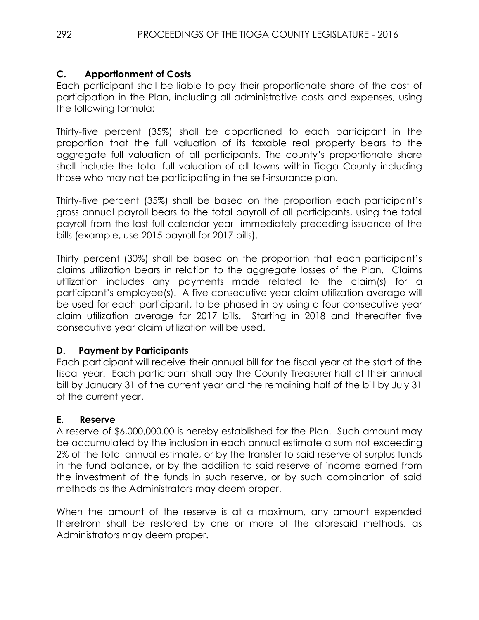# **C. Apportionment of Costs**

Each participant shall be liable to pay their proportionate share of the cost of participation in the Plan, including all administrative costs and expenses, using the following formula:

Thirty-five percent (35%) shall be apportioned to each participant in the proportion that the full valuation of its taxable real property bears to the aggregate full valuation of all participants. The county's proportionate share shall include the total full valuation of all towns within Tioga County including those who may not be participating in the self-insurance plan.

Thirty-five percent (35%) shall be based on the proportion each participant's gross annual payroll bears to the total payroll of all participants, using the total payroll from the last full calendar year immediately preceding issuance of the bills (example, use 2015 payroll for 2017 bills).

Thirty percent (30%) shall be based on the proportion that each participant's claims utilization bears in relation to the aggregate losses of the Plan. Claims utilization includes any payments made related to the claim(s) for a participant's employee(s). A five consecutive year claim utilization average will be used for each participant, to be phased in by using a four consecutive year claim utilization average for 2017 bills. Starting in 2018 and thereafter five consecutive year claim utilization will be used.

## **D. Payment by Participants**

Each participant will receive their annual bill for the fiscal year at the start of the fiscal year. Each participant shall pay the County Treasurer half of their annual bill by January 31 of the current year and the remaining half of the bill by July 31 of the current year.

## **E. Reserve**

A reserve of \$6,000,000.00 is hereby established for the Plan. Such amount may be accumulated by the inclusion in each annual estimate a sum not exceeding 2% of the total annual estimate, or by the transfer to said reserve of surplus funds in the fund balance, or by the addition to said reserve of income earned from the investment of the funds in such reserve, or by such combination of said methods as the Administrators may deem proper.

When the amount of the reserve is at a maximum, any amount expended therefrom shall be restored by one or more of the aforesaid methods, as Administrators may deem proper.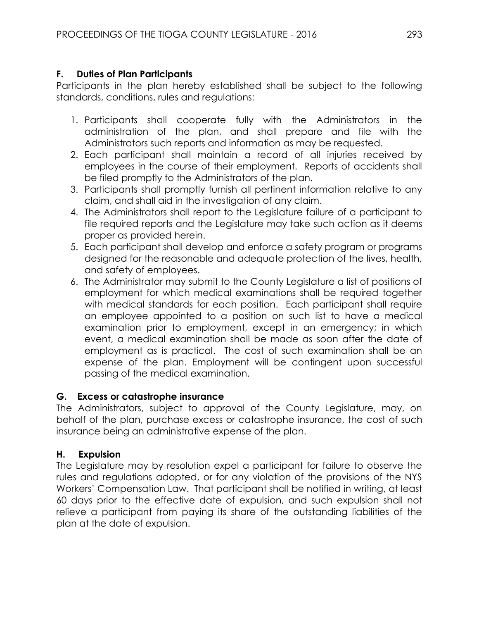# **F. Duties of Plan Participants**

Participants in the plan hereby established shall be subject to the following standards, conditions, rules and regulations:

- 1. Participants shall cooperate fully with the Administrators in the administration of the plan, and shall prepare and file with the Administrators such reports and information as may be requested.
- 2. Each participant shall maintain a record of all injuries received by employees in the course of their employment. Reports of accidents shall be filed promptly to the Administrators of the plan.
- 3. Participants shall promptly furnish all pertinent information relative to any claim, and shall aid in the investigation of any claim.
- 4. The Administrators shall report to the Legislature failure of a participant to file required reports and the Legislature may take such action as it deems proper as provided herein.
- 5. Each participant shall develop and enforce a safety program or programs designed for the reasonable and adequate protection of the lives, health, and safety of employees.
- 6. The Administrator may submit to the County Legislature a list of positions of employment for which medical examinations shall be required together with medical standards for each position. Each participant shall require an employee appointed to a position on such list to have a medical examination prior to employment, except in an emergency; in which event, a medical examination shall be made as soon after the date of employment as is practical. The cost of such examination shall be an expense of the plan. Employment will be contingent upon successful passing of the medical examination.

# **G. Excess or catastrophe insurance**

The Administrators, subject to approval of the County Legislature, may, on behalf of the plan, purchase excess or catastrophe insurance, the cost of such insurance being an administrative expense of the plan.

# **H. Expulsion**

The Legislature may by resolution expel a participant for failure to observe the rules and regulations adopted, or for any violation of the provisions of the NYS Workers' Compensation Law. That participant shall be notified in writing, at least 60 days prior to the effective date of expulsion, and such expulsion shall not relieve a participant from paying its share of the outstanding liabilities of the plan at the date of expulsion.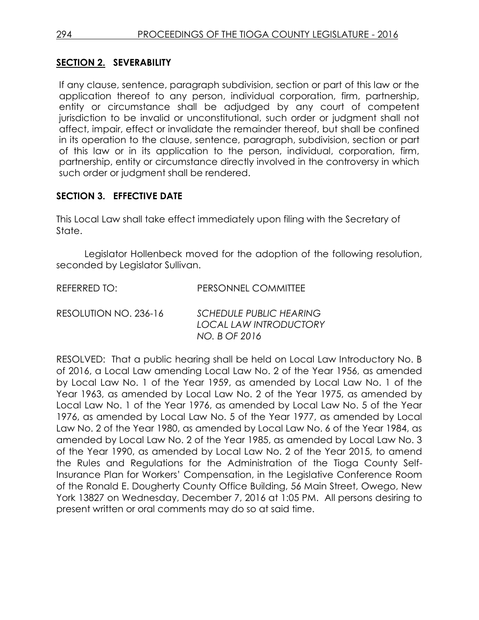## **SECTION 2. SEVERABILITY**

If any clause, sentence, paragraph subdivision, section or part of this law or the application thereof to any person, individual corporation, firm, partnership, entity or circumstance shall be adjudged by any court of competent jurisdiction to be invalid or unconstitutional, such order or judgment shall not affect, impair, effect or invalidate the remainder thereof, but shall be confined in its operation to the clause, sentence, paragraph, subdivision, section or part of this law or in its application to the person, individual, corporation, firm, partnership, entity or circumstance directly involved in the controversy in which such order or judgment shall be rendered.

## **SECTION 3. EFFECTIVE DATE**

This Local Law shall take effect immediately upon filing with the Secretary of State.

Legislator Hollenbeck moved for the adoption of the following resolution, seconded by Legislator Sullivan.

REFERRED TO: PERSONNEL COMMITTEE

RESOLUTION NO. 236-16 *SCHEDULE PUBLIC HEARING LOCAL LAW INTRODUCTORY NO. B OF 2016*

RESOLVED: That a public hearing shall be held on Local Law Introductory No. B of 2016, a Local Law amending Local Law No. 2 of the Year 1956, as amended by Local Law No. 1 of the Year 1959, as amended by Local Law No. 1 of the Year 1963, as amended by Local Law No. 2 of the Year 1975, as amended by Local Law No. 1 of the Year 1976, as amended by Local Law No. 5 of the Year 1976, as amended by Local Law No. 5 of the Year 1977, as amended by Local Law No. 2 of the Year 1980, as amended by Local Law No. 6 of the Year 1984, as amended by Local Law No. 2 of the Year 1985, as amended by Local Law No. 3 of the Year 1990, as amended by Local Law No. 2 of the Year 2015, to amend the Rules and Regulations for the Administration of the Tioga County Self-Insurance Plan for Workers' Compensation, in the Legislative Conference Room of the Ronald E. Dougherty County Office Building, 56 Main Street, Owego, New York 13827 on Wednesday, December 7, 2016 at 1:05 PM. All persons desiring to present written or oral comments may do so at said time.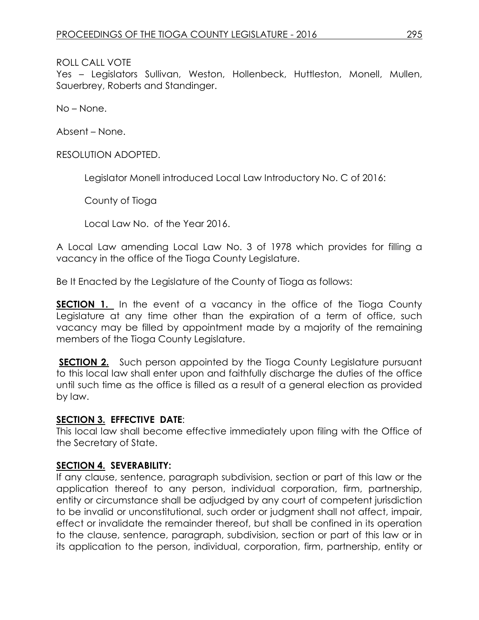### ROLL CALL VOTE

Yes – Legislators Sullivan, Weston, Hollenbeck, Huttleston, Monell, Mullen, Sauerbrey, Roberts and Standinger.

No – None.

Absent – None.

RESOLUTION ADOPTED.

Legislator Monell introduced Local Law Introductory No. C of 2016:

County of Tioga

Local Law No. of the Year 2016.

A Local Law amending Local Law No. 3 of 1978 which provides for filling a vacancy in the office of the Tioga County Legislature.

Be It Enacted by the Legislature of the County of Tioga as follows:

**SECTION 1.** In the event of a vacancy in the office of the Tioga County Legislature at any time other than the expiration of a term of office, such vacancy may be filled by appointment made by a majority of the remaining members of the Tioga County Legislature.

**SECTION 2.** Such person appointed by the Tioga County Legislature pursuant to this local law shall enter upon and faithfully discharge the duties of the office until such time as the office is filled as a result of a general election as provided by law.

#### **SECTION 3. EFFECTIVE DATE**:

This local law shall become effective immediately upon filing with the Office of the Secretary of State.

### **SECTION 4. SEVERABILITY:**

If any clause, sentence, paragraph subdivision, section or part of this law or the application thereof to any person, individual corporation, firm, partnership, entity or circumstance shall be adjudged by any court of competent jurisdiction to be invalid or unconstitutional, such order or judgment shall not affect, impair, effect or invalidate the remainder thereof, but shall be confined in its operation to the clause, sentence, paragraph, subdivision, section or part of this law or in its application to the person, individual, corporation, firm, partnership, entity or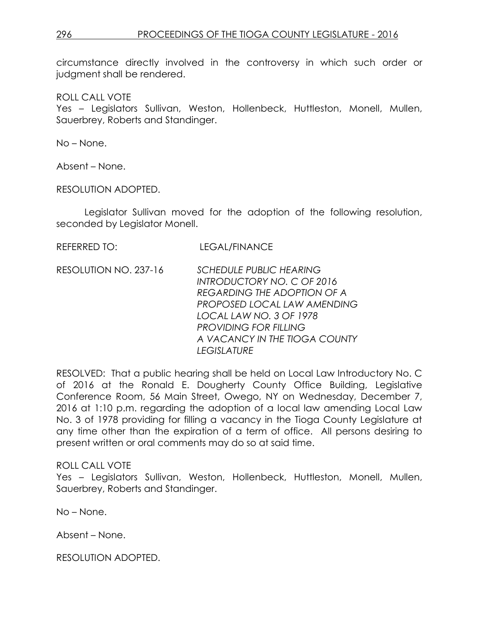circumstance directly involved in the controversy in which such order or judgment shall be rendered.

ROLL CALL VOTE

Yes – Legislators Sullivan, Weston, Hollenbeck, Huttleston, Monell, Mullen, Sauerbrey, Roberts and Standinger.

No – None.

Absent – None.

RESOLUTION ADOPTED.

Legislator Sullivan moved for the adoption of the following resolution, seconded by Legislator Monell.

REFERRED TO: LEGAL/FINANCE

RESOLUTION NO. 237-16 *SCHEDULE PUBLIC HEARING INTRODUCTORY NO. C OF 2016 REGARDING THE ADOPTION OF A PROPOSED LOCAL LAW AMENDING LOCAL LAW NO. 3 OF 1978 PROVIDING FOR FILLING A VACANCY IN THE TIOGA COUNTY LEGISLATURE* 

RESOLVED: That a public hearing shall be held on Local Law Introductory No. C of 2016 at the Ronald E. Dougherty County Office Building, Legislative Conference Room, 56 Main Street, Owego, NY on Wednesday, December 7, 2016 at 1:10 p.m. regarding the adoption of a local law amending Local Law No. 3 of 1978 providing for filling a vacancy in the Tioga County Legislature at any time other than the expiration of a term of office. All persons desiring to present written or oral comments may do so at said time.

### ROLL CALL VOTE

Yes – Legislators Sullivan, Weston, Hollenbeck, Huttleston, Monell, Mullen, Sauerbrey, Roberts and Standinger.

No – None.

Absent – None.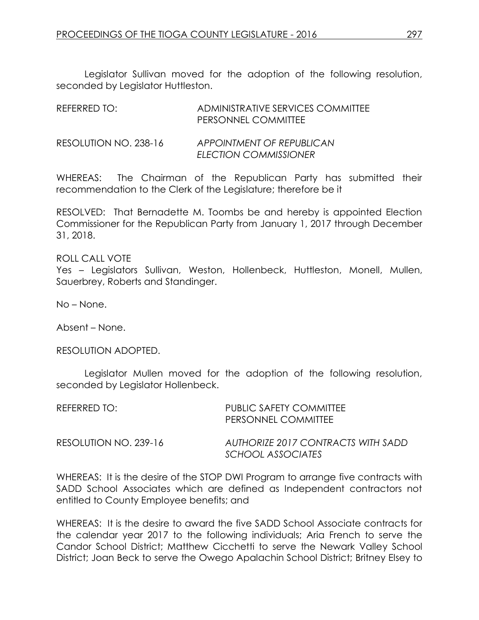Legislator Sullivan moved for the adoption of the following resolution, seconded by Legislator Huttleston.

| REFERRED TO:          | ADMINISTRATIVE SERVICES COMMITTEE<br>PERSONNEL COMMITTEE |
|-----------------------|----------------------------------------------------------|
| RESOLUTION NO. 238-16 | APPOINTMENT OF REPUBLICAN<br>ELECTION COMMISSIONER       |

WHEREAS: The Chairman of the Republican Party has submitted their recommendation to the Clerk of the Legislature; therefore be it

RESOLVED: That Bernadette M. Toombs be and hereby is appointed Election Commissioner for the Republican Party from January 1, 2017 through December 31, 2018.

ROLL CALL VOTE Yes – Legislators Sullivan, Weston, Hollenbeck, Huttleston, Monell, Mullen, Sauerbrey, Roberts and Standinger.

No – None.

Absent – None.

RESOLUTION ADOPTED.

Legislator Mullen moved for the adoption of the following resolution, seconded by Legislator Hollenbeck.

| REFERRED TO:          | PUBLIC SAFETY COMMITTEE<br>PERSONNEL COMMITTEE          |
|-----------------------|---------------------------------------------------------|
| RESOLUTION NO. 239-16 | AUTHORIZE 2017 CONTRACTS WITH SADD<br>SCHOOL ASSOCIATES |

WHEREAS: It is the desire of the STOP DWI Program to arrange five contracts with SADD School Associates which are defined as Independent contractors not entitled to County Employee benefits; and

WHEREAS: It is the desire to award the five SADD School Associate contracts for the calendar year 2017 to the following individuals; Aria French to serve the Candor School District; Matthew Cicchetti to serve the Newark Valley School District; Joan Beck to serve the Owego Apalachin School District; Britney Elsey to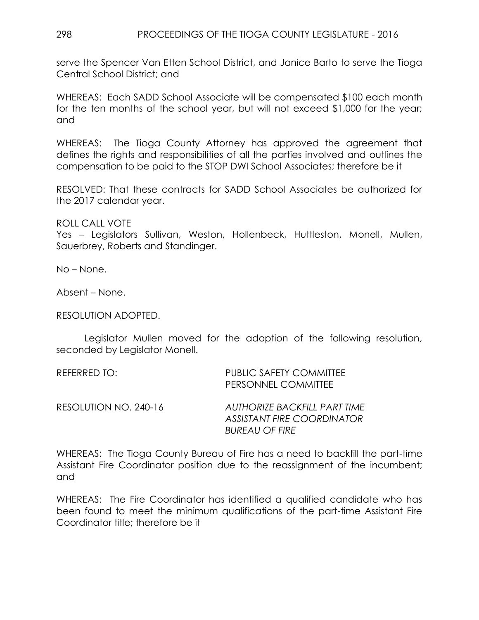serve the Spencer Van Etten School District, and Janice Barto to serve the Tioga Central School District; and

WHEREAS: Each SADD School Associate will be compensated \$100 each month for the ten months of the school year, but will not exceed \$1,000 for the year; and

WHEREAS: The Tioga County Attorney has approved the agreement that defines the rights and responsibilities of all the parties involved and outlines the compensation to be paid to the STOP DWI School Associates; therefore be it

RESOLVED: That these contracts for SADD School Associates be authorized for the 2017 calendar year.

ROLL CALL VOTE Yes – Legislators Sullivan, Weston, Hollenbeck, Huttleston, Monell, Mullen, Sauerbrey, Roberts and Standinger.

No – None.

Absent – None.

RESOLUTION ADOPTED.

Legislator Mullen moved for the adoption of the following resolution, seconded by Legislator Monell.

| REFERRED TO: I        | PUBLIC SAFETY COMMITTEE<br>PERSONNEL COMMITTEE                                      |
|-----------------------|-------------------------------------------------------------------------------------|
| RESOLUTION NO. 240-16 | AUTHORIZE BACKFILL PART TIME<br>ASSISTANT FIRE COORDINATOR<br><b>BUREAU OF FIRE</b> |

WHEREAS: The Tioga County Bureau of Fire has a need to backfill the part-time Assistant Fire Coordinator position due to the reassignment of the incumbent; and

WHEREAS: The Fire Coordinator has identified a qualified candidate who has been found to meet the minimum qualifications of the part-time Assistant Fire Coordinator title; therefore be it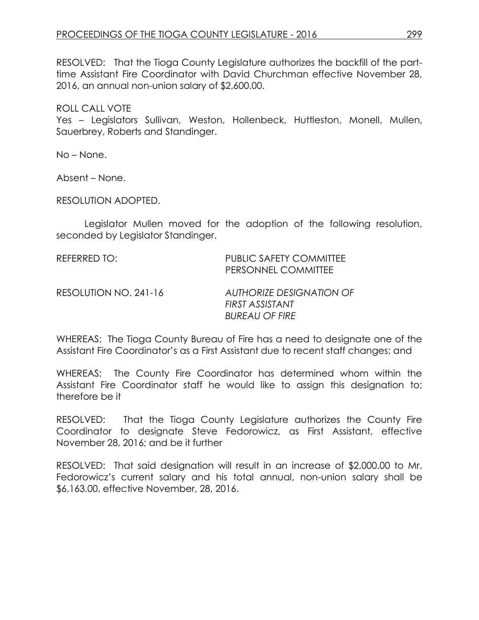RESOLVED: That the Tioga County Legislature authorizes the backfill of the parttime Assistant Fire Coordinator with David Churchman effective November 28, 2016, an annual non-union salary of \$2,600.00.

ROLL CALL VOTE

Yes – Legislators Sullivan, Weston, Hollenbeck, Huttleston, Monell, Mullen, Sauerbrey, Roberts and Standinger.

No – None.

Absent – None.

RESOLUTION ADOPTED.

Legislator Mullen moved for the adoption of the following resolution, seconded by Legislator Standinger.

REFERRED TO: PUBLIC SAFETY COMMITTEE PERSONNEL COMMITTEE RESOLUTION NO. 241-16 *AUTHORIZE DESIGNATION OF FIRST ASSISTANT BUREAU OF FIRE*

WHEREAS: The Tioga County Bureau of Fire has a need to designate one of the Assistant Fire Coordinator's as a First Assistant due to recent staff changes; and

WHEREAS: The County Fire Coordinator has determined whom within the Assistant Fire Coordinator staff he would like to assign this designation to; therefore be it

RESOLVED: That the Tioga County Legislature authorizes the County Fire Coordinator to designate Steve Fedorowicz, as First Assistant, effective November 28, 2016; and be it further

RESOLVED: That said designation will result in an increase of \$2,000.00 to Mr. Fedorowicz's current salary and his total annual, non-union salary shall be \$6,163.00, effective November, 28, 2016.